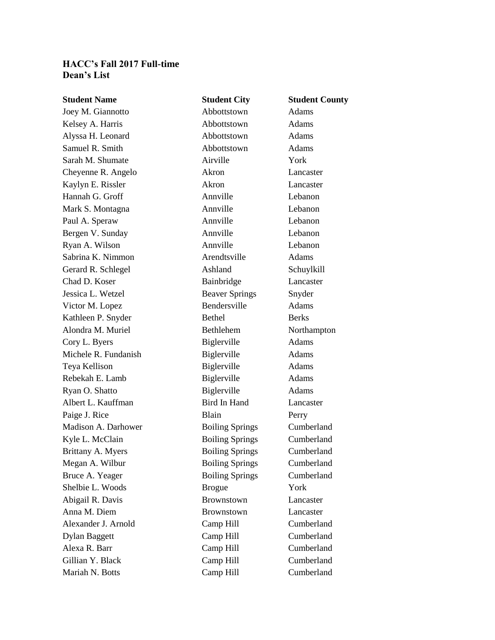## **HACC's Fall 2017 Full-time Dean's List**

**Student Name Student City Student County** Joey M. Giannotto Abbottstown Adams Kelsey A. Harris **Abbottstown** Adams Alyssa H. Leonard **Abbottstown** Adams Samuel R. Smith Abbottstown Adams Sarah M. Shumate **Airville** Airville **No. 1988** Cheyenne R. Angelo Akron Lancaster Kaylyn E. Rissler **Akron** Akron Lancaster Hannah G. Groff Annville Annville Lebanon Mark S. Montagna **Annuille** Lebanon Paul A. Speraw Annville Lebanon Bergen V. Sunday **Annuille** Annuille Lebanon Ryan A. Wilson **Annuille** Annuille Lebanon Sabrina K. Nimmon Arendtsville Adams Gerard R. Schlegel Ashland Schuylkill Chad D. Koser Bainbridge Lancaster Jessica L. Wetzel Beaver Springs Snyder Victor M. Lopez Bendersville Adams Kathleen P. Snyder Bethel Berks Alondra M. Muriel Bethlehem Northampton Cory L. Byers Biglerville Adams Michele R. Fundanish Biglerville Adams Teya Kellison Biglerville Adams Rebekah E. Lamb Biglerville Adams Ryan O. Shatto Biglerville Adams Albert L. Kauffman Bird In Hand Lancaster Paige J. Rice Blain Perry Madison A. Darhower Boiling Springs Cumberland Kyle L. McClain Boiling Springs Cumberland Brittany A. Myers Boiling Springs Cumberland Megan A. Wilbur Boiling Springs Cumberland Bruce A. Yeager Boiling Springs Cumberland Shelbie L. Woods Brogue York Abigail R. Davis Brownstown Lancaster Anna M. Diem Brownstown Lancaster Alexander J. Arnold Camp Hill Cumberland Dylan Baggett Camp Hill Cumberland Alexa R. Barr Camp Hill Cumberland Gillian Y. Black Camp Hill Cumberland Mariah N. Botts Camp Hill Cumberland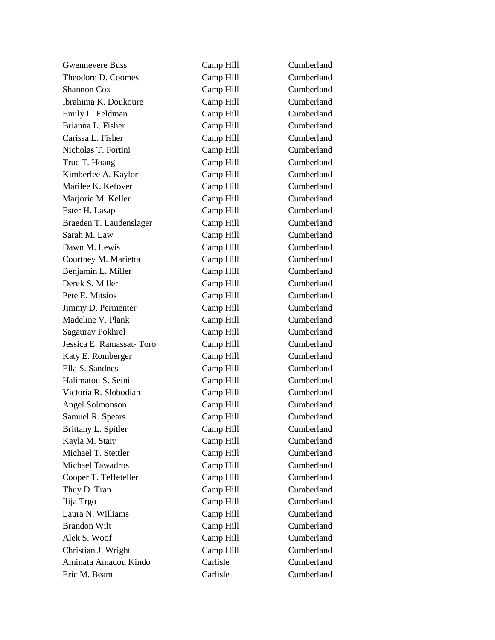| <b>Gwennevere Buss</b>   | Camp Hill | Cumberland |
|--------------------------|-----------|------------|
| Theodore D. Coomes       | Camp Hill | Cumberland |
| Shannon Cox              | Camp Hill | Cumberland |
| Ibrahima K. Doukoure     | Camp Hill | Cumberland |
| Emily L. Feldman         | Camp Hill | Cumberland |
| Brianna L. Fisher        | Camp Hill | Cumberland |
| Carissa L. Fisher        | Camp Hill | Cumberland |
| Nicholas T. Fortini      | Camp Hill | Cumberland |
| Truc T. Hoang            | Camp Hill | Cumberland |
| Kimberlee A. Kaylor      | Camp Hill | Cumberland |
| Marilee K. Kefover       | Camp Hill | Cumberland |
| Marjorie M. Keller       | Camp Hill | Cumberland |
| Ester H. Lasap           | Camp Hill | Cumberland |
| Braeden T. Laudenslager  | Camp Hill | Cumberland |
| Sarah M. Law             | Camp Hill | Cumberland |
| Dawn M. Lewis            | Camp Hill | Cumberland |
| Courtney M. Marietta     | Camp Hill | Cumberland |
| Benjamin L. Miller       | Camp Hill | Cumberland |
| Derek S. Miller          | Camp Hill | Cumberland |
| Pete E. Mitsios          | Camp Hill | Cumberland |
| Jimmy D. Permenter       | Camp Hill | Cumberland |
| Madeline V. Plank        | Camp Hill | Cumberland |
| Sagaurav Pokhrel         | Camp Hill | Cumberland |
| Jessica E. Ramassat-Toro | Camp Hill | Cumberland |
| Katy E. Romberger        | Camp Hill | Cumberland |
| Ella S. Sandnes          | Camp Hill | Cumberland |
| Halimatou S. Seini       | Camp Hill | Cumberland |
| Victoria R. Slobodian    | Camp Hill | Cumberland |
| Angel Solmonson          | Camp Hill | Cumberland |
| Samuel R. Spears         | Camp Hill | Cumberland |
| Brittany L. Spitler      | Camp Hill | Cumberland |
| Kayla M. Starr           | Camp Hill | Cumberland |
| Michael T. Stettler      | Camp Hill | Cumberland |
| <b>Michael Tawadros</b>  | Camp Hill | Cumberland |
| Cooper T. Teffeteller    | Camp Hill | Cumberland |
| Thuy D. Tran             | Camp Hill | Cumberland |
| Ilija Trgo               | Camp Hill | Cumberland |
| Laura N. Williams        | Camp Hill | Cumberland |
| <b>Brandon Wilt</b>      | Camp Hill | Cumberland |
| Alek S. Woof             | Camp Hill | Cumberland |
| Christian J. Wright      | Camp Hill | Cumberland |
| Aminata Amadou Kindo     | Carlisle  | Cumberland |
| Eric M. Beam             | Carlisle  | Cumberland |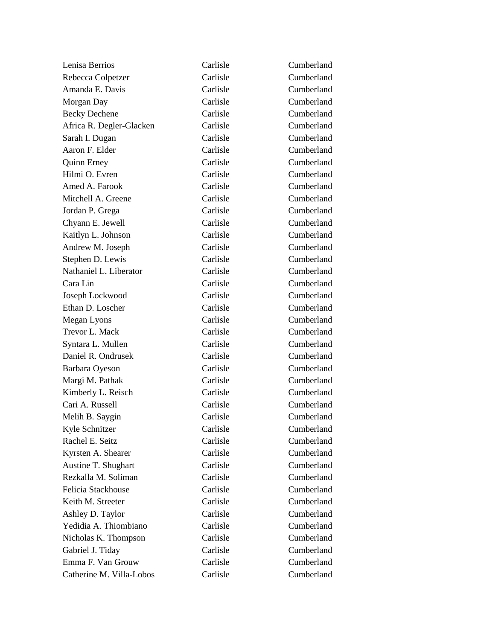| Lenisa Berrios           | Carlisle | Cumberland |
|--------------------------|----------|------------|
| Rebecca Colpetzer        | Carlisle | Cumberland |
| Amanda E. Davis          | Carlisle | Cumberland |
| Morgan Day               | Carlisle | Cumberland |
| <b>Becky Dechene</b>     | Carlisle | Cumberland |
| Africa R. Degler-Glacken | Carlisle | Cumberland |
| Sarah I. Dugan           | Carlisle | Cumberland |
| Aaron F. Elder           | Carlisle | Cumberland |
| <b>Quinn Erney</b>       | Carlisle | Cumberland |
| Hilmi O. Evren           | Carlisle | Cumberland |
| Amed A. Farook           | Carlisle | Cumberland |
| Mitchell A. Greene       | Carlisle | Cumberland |
| Jordan P. Grega          | Carlisle | Cumberland |
| Chyann E. Jewell         | Carlisle | Cumberland |
| Kaitlyn L. Johnson       | Carlisle | Cumberland |
| Andrew M. Joseph         | Carlisle | Cumberland |
| Stephen D. Lewis         | Carlisle | Cumberland |
| Nathaniel L. Liberator   | Carlisle | Cumberland |
| Cara Lin                 | Carlisle | Cumberland |
| Joseph Lockwood          | Carlisle | Cumberland |
| Ethan D. Loscher         | Carlisle | Cumberland |
| Megan Lyons              | Carlisle | Cumberland |
| Trevor L. Mack           | Carlisle | Cumberland |
| Syntara L. Mullen        | Carlisle | Cumberland |
| Daniel R. Ondrusek       | Carlisle | Cumberland |
| Barbara Oyeson           | Carlisle | Cumberland |
| Margi M. Pathak          | Carlisle | Cumberland |
| Kimberly L. Reisch       | Carlisle | Cumberland |
| Cari A. Russell          | Carlisle | Cumberland |
| Melih B. Saygin          | Carlisle | Cumberland |
| Kyle Schnitzer           | Carlisle | Cumberland |
| Rachel E. Seitz          | Carlisle | Cumberland |
| Kyrsten A. Shearer       | Carlisle | Cumberland |
| Austine T. Shughart      | Carlisle | Cumberland |
| Rezkalla M. Soliman      | Carlisle | Cumberland |
| Felicia Stackhouse       | Carlisle | Cumberland |
| Keith M. Streeter        | Carlisle | Cumberland |
| Ashley D. Taylor         | Carlisle | Cumberland |
| Yedidia A. Thiombiano    | Carlisle | Cumberland |
| Nicholas K. Thompson     | Carlisle | Cumberland |
| Gabriel J. Tiday         | Carlisle | Cumberland |
| Emma F. Van Grouw        | Carlisle | Cumberland |
| Catherine M. Villa-Lobos | Carlisle | Cumberland |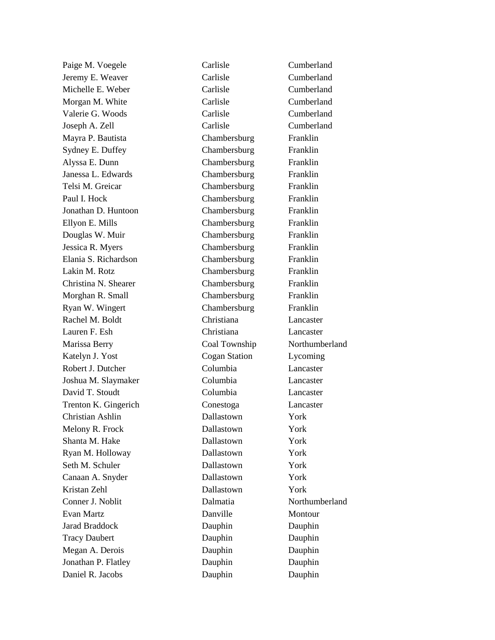Jeremy E. Weaver Carlisle Cumberland Michelle E. Weber Carlisle Carlisle Cumberland Morgan M. White Carlisle Carlisle Cumberland Valerie G. Woods Carlisle Cumberland Joseph A. Zell Carlisle Cumberland Mayra P. Bautista Chambersburg Franklin Sydney E. Duffey Chambersburg Franklin Alyssa E. Dunn Chambersburg Franklin Janessa L. Edwards Chambersburg Franklin Telsi M. Greicar Chambersburg Franklin Paul I. Hock Chambersburg Franklin Jonathan D. Huntoon Chambersburg Franklin Ellyon E. Mills Chambersburg Franklin Douglas W. Muir Chambersburg Franklin Jessica R. Myers Chambersburg Franklin Elania S. Richardson Chambersburg Franklin Lakin M. Rotz Chambersburg Franklin Christina N. Shearer Chambersburg Franklin Morghan R. Small Chambersburg Franklin Ryan W. Wingert Chambersburg Franklin Rachel M. Boldt Christiana Lancaster Lauren F. Esh Christiana Lancaster Marissa Berry Coal Township Northumberland Katelyn J. Yost Cogan Station Lycoming Robert J. Dutcher Columbia Lancaster Joshua M. Slaymaker Columbia Lancaster David T. Stoudt Columbia Lancaster Trenton K. Gingerich Conestoga Lancaster Christian Ashlin Dallastown York Melony R. Frock Dallastown York Shanta M. Hake Dallastown York Ryan M. Holloway Dallastown York Seth M. Schuler Dallastown York Canaan A. Snyder Dallastown York Kristan Zehl Dallastown York Conner J. Noblit Dalmatia Northumberland Evan Martz **Danville** Montour Jarad Braddock Dauphin Dauphin Tracy Daubert Dauphin Dauphin Dauphin Megan A. Derois Dauphin Dauphin Jonathan P. Flatley **Dauphin** Dauphin Dauphin Daniel R. Jacobs Dauphin Dauphin

Paige M. Voegele Carlisle Carlisle Cumberland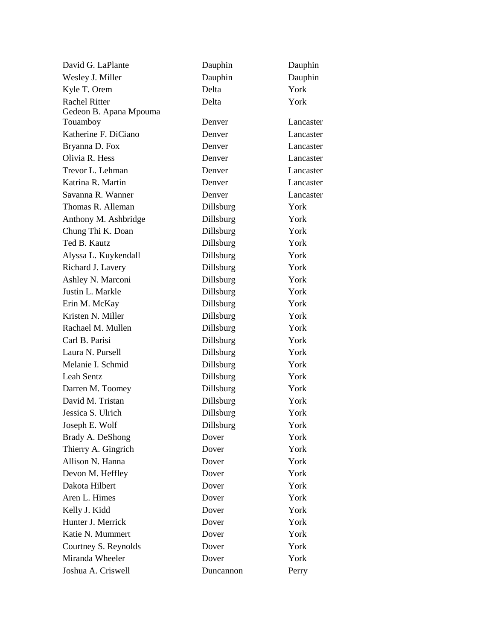| David G. LaPlante      | Dauphin   | Dauphin   |
|------------------------|-----------|-----------|
| Wesley J. Miller       | Dauphin   | Dauphin   |
| Kyle T. Orem           | Delta     | York      |
| <b>Rachel Ritter</b>   | Delta     | York      |
| Gedeon B. Apana Mpouma |           |           |
| Touamboy               | Denver    | Lancaster |
| Katherine F. DiCiano   | Denver    | Lancaster |
| Bryanna D. Fox         | Denver    | Lancaster |
| Olivia R. Hess         | Denver    | Lancaster |
| Trevor L. Lehman       | Denver    | Lancaster |
| Katrina R. Martin      | Denver    | Lancaster |
| Savanna R. Wanner      | Denver    | Lancaster |
| Thomas R. Alleman      | Dillsburg | York      |
| Anthony M. Ashbridge   | Dillsburg | York      |
| Chung Thi K. Doan      | Dillsburg | York      |
| Ted B. Kautz           | Dillsburg | York      |
| Alyssa L. Kuykendall   | Dillsburg | York      |
| Richard J. Lavery      | Dillsburg | York      |
| Ashley N. Marconi      | Dillsburg | York      |
| Justin L. Markle       | Dillsburg | York      |
| Erin M. McKay          | Dillsburg | York      |
| Kristen N. Miller      | Dillsburg | York      |
| Rachael M. Mullen      | Dillsburg | York      |
| Carl B. Parisi         | Dillsburg | York      |
| Laura N. Pursell       | Dillsburg | York      |
| Melanie I. Schmid      | Dillsburg | York      |
| Leah Sentz             | Dillsburg | York      |
| Darren M. Toomey       | Dillsburg | York      |
| David M. Tristan       | Dillsburg | York      |
| Jessica S. Ulrich      | Dillsburg | York      |
| Joseph E. Wolf         | Dillsburg | York      |
| Brady A. DeShong       | Dover     | York      |
| Thierry A. Gingrich    | Dover     | York      |
| Allison N. Hanna       | Dover     | York      |
| Devon M. Heffley       | Dover     | York      |
| Dakota Hilbert         | Dover     | York      |
| Aren L. Himes          | Dover     | York      |
| Kelly J. Kidd          | Dover     | York      |
| Hunter J. Merrick      | Dover     | York      |
| Katie N. Mummert       | Dover     | York      |
| Courtney S. Reynolds   | Dover     | York      |
| Miranda Wheeler        | Dover     | York      |
| Joshua A. Criswell     | Duncannon | Perry     |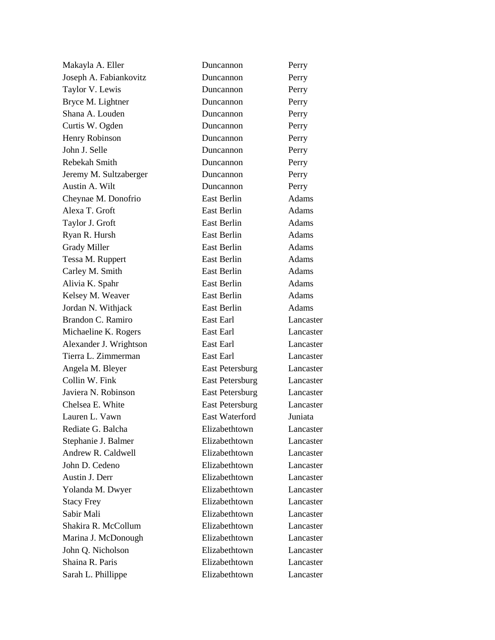| Makayla A. Eller       | Duncannon              | Perry        |
|------------------------|------------------------|--------------|
| Joseph A. Fabiankovitz | Duncannon              | Perry        |
| Taylor V. Lewis        | Duncannon              | Perry        |
| Bryce M. Lightner      | Duncannon              | Perry        |
| Shana A. Louden        | Duncannon              | Perry        |
| Curtis W. Ogden        | Duncannon              | Perry        |
| Henry Robinson         | Duncannon              | Perry        |
| John J. Selle          | Duncannon              | Perry        |
| Rebekah Smith          | Duncannon              | Perry        |
| Jeremy M. Sultzaberger | Duncannon              | Perry        |
| Austin A. Wilt         | Duncannon              | Perry        |
| Cheynae M. Donofrio    | East Berlin            | Adams        |
| Alexa T. Groft         | East Berlin            | Adams        |
| Taylor J. Groft        | East Berlin            | Adams        |
| Ryan R. Hursh          | East Berlin            | Adams        |
| <b>Grady Miller</b>    | <b>East Berlin</b>     | Adams        |
| Tessa M. Ruppert       | East Berlin            | Adams        |
| Carley M. Smith        | East Berlin            | <b>Adams</b> |
| Alivia K. Spahr        | East Berlin            | Adams        |
| Kelsey M. Weaver       | East Berlin            | Adams        |
| Jordan N. Withjack     | East Berlin            | Adams        |
| Brandon C. Ramiro      | East Earl              | Lancaster    |
| Michaeline K. Rogers   | East Earl              | Lancaster    |
| Alexander J. Wrightson | East Earl              | Lancaster    |
| Tierra L. Zimmerman    | East Earl              | Lancaster    |
| Angela M. Bleyer       | <b>East Petersburg</b> | Lancaster    |
| Collin W. Fink         | <b>East Petersburg</b> | Lancaster    |
| Javiera N. Robinson    | <b>East Petersburg</b> | Lancaster    |
| Chelsea E. White       | <b>East Petersburg</b> | Lancaster    |
| Lauren L. Vawn         | <b>East Waterford</b>  | Juniata      |
| Rediate G. Balcha      | Elizabethtown          | Lancaster    |
| Stephanie J. Balmer    | Elizabethtown          | Lancaster    |
| Andrew R. Caldwell     | Elizabethtown          | Lancaster    |
| John D. Cedeno         | Elizabethtown          | Lancaster    |
| Austin J. Derr         | Elizabethtown          | Lancaster    |
| Yolanda M. Dwyer       | Elizabethtown          | Lancaster    |
| <b>Stacy Frey</b>      | Elizabethtown          | Lancaster    |
| Sabir Mali             | Elizabethtown          | Lancaster    |
| Shakira R. McCollum    | Elizabethtown          | Lancaster    |
| Marina J. McDonough    | Elizabethtown          | Lancaster    |
| John Q. Nicholson      | Elizabethtown          | Lancaster    |
| Shaina R. Paris        | Elizabethtown          | Lancaster    |
| Sarah L. Phillippe     | Elizabethtown          | Lancaster    |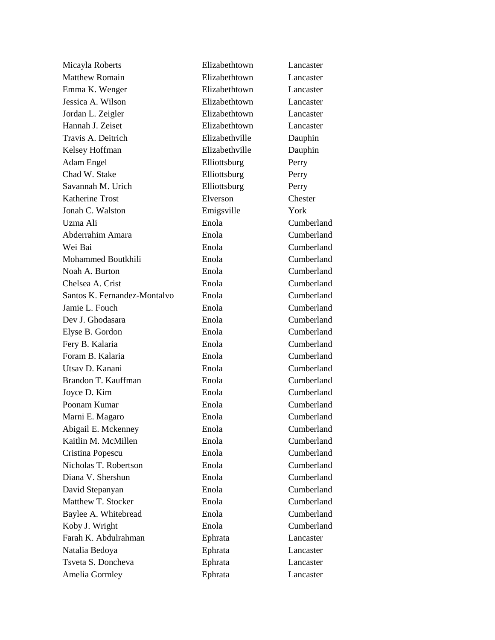Micayla Roberts Elizabethtown Lancaster Matthew Romain Elizabethtown Lancaster Emma K. Wenger Elizabethtown Lancaster Jessica A. Wilson Elizabethtown Lancaster Jordan L. Zeigler Elizabethtown Lancaster Hannah J. Zeiset Elizabethtown Lancaster Travis A. Deitrich Elizabethville Dauphin Kelsey Hoffman Elizabethville Dauphin Adam Engel Elliottsburg Perry Chad W. Stake Elliottsburg Perry Savannah M. Urich Elliottsburg Perry Katherine Trost Elverson Chester Jonah C. Walston Emigsville York Uzma Ali Enola Cumberland Abderrahim Amara Enola Cumberland Wei Bai Enola Cumberland Mohammed Boutkhili Enola Cumberland Noah A. Burton Enola Cumberland Chelsea A. Crist Enola Cumberland Santos K. Fernandez-Montalvo Enola Cumberland Jamie L. Fouch Enola Enola Cumberland Dev J. Ghodasara Enola Cumberland Elyse B. Gordon Enola Cumberland Fery B. Kalaria Enola Cumberland Foram B. Kalaria **Enola** Enola Cumberland Utsav D. Kanani Enola Cumberland Brandon T. Kauffman Enola Cumberland Joyce D. Kim Enola Cumberland Poonam Kumar **Enola** Enola Cumberland Marni E. Magaro Enola Cumberland Abigail E. Mckenney Enola Cumberland Kaitlin M. McMillen Enola Enola Cumberland Cristina Popescu Enola Cumberland Nicholas T. Robertson Enola Cumberland Diana V. Shershun Enola Cumberland David Stepanyan Enola Cumberland Matthew T. Stocker **Enola** Enola Cumberland Baylee A. Whitebread Enola Enola Cumberland Koby J. Wright Enola Cumberland Farah K. Abdulrahman Ephrata Lancaster Natalia Bedoya Ephrata Lancaster Tsveta S. Doncheva Ephrata Lancaster Amelia Gormley Ephrata Lancaster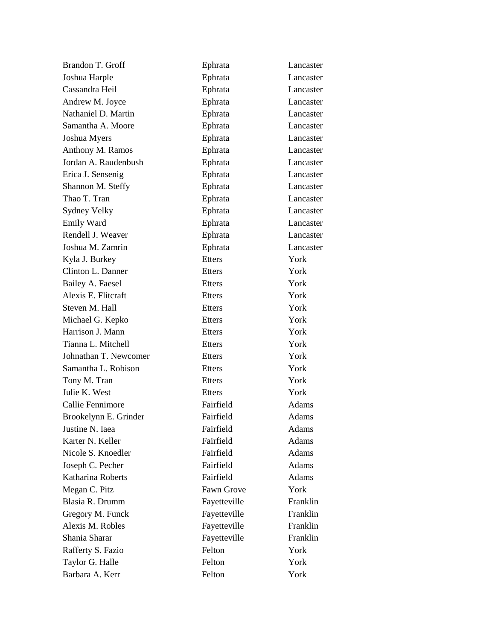| Brandon T. Groff      | Ephrata       | Lancaster    |
|-----------------------|---------------|--------------|
| Joshua Harple         | Ephrata       | Lancaster    |
| Cassandra Heil        | Ephrata       | Lancaster    |
| Andrew M. Joyce       | Ephrata       | Lancaster    |
| Nathaniel D. Martin   | Ephrata       | Lancaster    |
| Samantha A. Moore     | Ephrata       | Lancaster    |
| Joshua Myers          | Ephrata       | Lancaster    |
| Anthony M. Ramos      | Ephrata       | Lancaster    |
| Jordan A. Raudenbush  | Ephrata       | Lancaster    |
| Erica J. Sensenig     | Ephrata       | Lancaster    |
| Shannon M. Steffy     | Ephrata       | Lancaster    |
| Thao T. Tran          | Ephrata       | Lancaster    |
| Sydney Velky          | Ephrata       | Lancaster    |
| <b>Emily Ward</b>     | Ephrata       | Lancaster    |
| Rendell J. Weaver     | Ephrata       | Lancaster    |
| Joshua M. Zamrin      | Ephrata       | Lancaster    |
| Kyla J. Burkey        | <b>Etters</b> | York         |
| Clinton L. Danner     | Etters        | York         |
| Bailey A. Faesel      | Etters        | York         |
| Alexis E. Flitcraft   | <b>Etters</b> | York         |
| Steven M. Hall        | Etters        | York         |
| Michael G. Kepko      | Etters        | York         |
| Harrison J. Mann      | Etters        | York         |
| Tianna L. Mitchell    | <b>Etters</b> | York         |
| Johnathan T. Newcomer | Etters        | York         |
| Samantha L. Robison   | Etters        | York         |
| Tony M. Tran          | Etters        | York         |
| Julie K. West         | <b>Etters</b> | York         |
| Callie Fennimore      | Fairfield     | Adams        |
| Brookelynn E. Grinder | Fairfield     | Adams        |
| Justine N. Iaea       | Fairfield     | <b>Adams</b> |
| Karter N. Keller      | Fairfield     | Adams        |
| Nicole S. Knoedler    | Fairfield     | Adams        |
| Joseph C. Pecher      | Fairfield     | Adams        |
| Katharina Roberts     | Fairfield     | Adams        |
| Megan C. Pitz         | Fawn Grove    | York         |
| Blasia R. Drumm       | Fayetteville  | Franklin     |
| Gregory M. Funck      | Fayetteville  | Franklin     |
| Alexis M. Robles      | Fayetteville  | Franklin     |
| Shania Sharar         | Fayetteville  | Franklin     |
| Rafferty S. Fazio     | Felton        | York         |
| Taylor G. Halle       | Felton        | York         |
| Barbara A. Kerr       | Felton        | York         |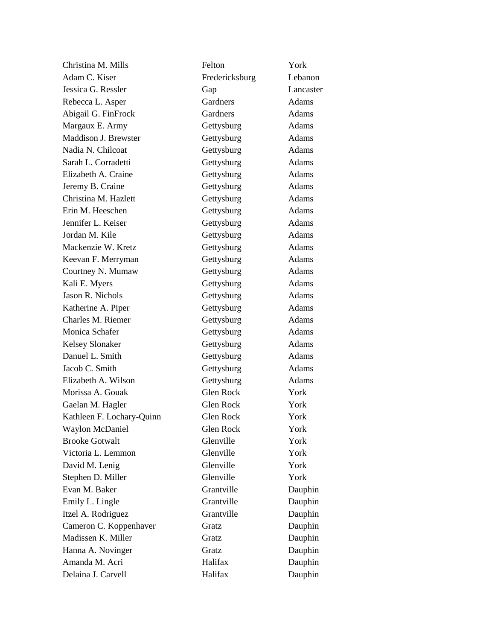| Christina M. Mills        | Felton           | York         |
|---------------------------|------------------|--------------|
| Adam C. Kiser             | Fredericksburg   | Lebanon      |
| Jessica G. Ressler        | Gap              | Lancaster    |
| Rebecca L. Asper          | Gardners         | Adams        |
| Abigail G. FinFrock       | Gardners         | Adams        |
| Margaux E. Army           | Gettysburg       | Adams        |
| Maddison J. Brewster      | Gettysburg       | Adams        |
| Nadia N. Chilcoat         | Gettysburg       | Adams        |
| Sarah L. Corradetti       | Gettysburg       | Adams        |
| Elizabeth A. Craine       | Gettysburg       | Adams        |
| Jeremy B. Craine          | Gettysburg       | Adams        |
| Christina M. Hazlett      | Gettysburg       | Adams        |
| Erin M. Heeschen          | Gettysburg       | Adams        |
| Jennifer L. Keiser        | Gettysburg       | Adams        |
| Jordan M. Kile            | Gettysburg       | Adams        |
| Mackenzie W. Kretz        | Gettysburg       | Adams        |
| Keevan F. Merryman        | Gettysburg       | Adams        |
| Courtney N. Mumaw         | Gettysburg       | Adams        |
| Kali E. Myers             | Gettysburg       | Adams        |
| Jason R. Nichols          | Gettysburg       | <b>Adams</b> |
| Katherine A. Piper        | Gettysburg       | Adams        |
| Charles M. Riemer         | Gettysburg       | Adams        |
| Monica Schafer            | Gettysburg       | Adams        |
| <b>Kelsey Slonaker</b>    | Gettysburg       | Adams        |
| Danuel L. Smith           | Gettysburg       | Adams        |
| Jacob C. Smith            | Gettysburg       | Adams        |
| Elizabeth A. Wilson       | Gettysburg       | Adams        |
| Morissa A. Gouak          | Glen Rock        | York         |
| Gaelan M. Hagler          | Glen Rock        | York         |
| Kathleen F. Lochary-Quinn | <b>Glen Rock</b> | York         |
| <b>Waylon McDaniel</b>    | Glen Rock        | York         |
| <b>Brooke Gotwalt</b>     | Glenville        | York         |
| Victoria L. Lemmon        | Glenville        | York         |
| David M. Lenig            | Glenville        | York         |
| Stephen D. Miller         | Glenville        | York         |
| Evan M. Baker             | Grantville       | Dauphin      |
| Emily L. Lingle           | Grantville       | Dauphin      |
| Itzel A. Rodriguez        | Grantville       | Dauphin      |
| Cameron C. Koppenhaver    | Gratz            | Dauphin      |
| Madissen K. Miller        | Gratz            | Dauphin      |
| Hanna A. Novinger         | Gratz            | Dauphin      |
| Amanda M. Acri            | Halifax          | Dauphin      |
| Delaina J. Carvell        | Halifax          | Dauphin      |
|                           |                  |              |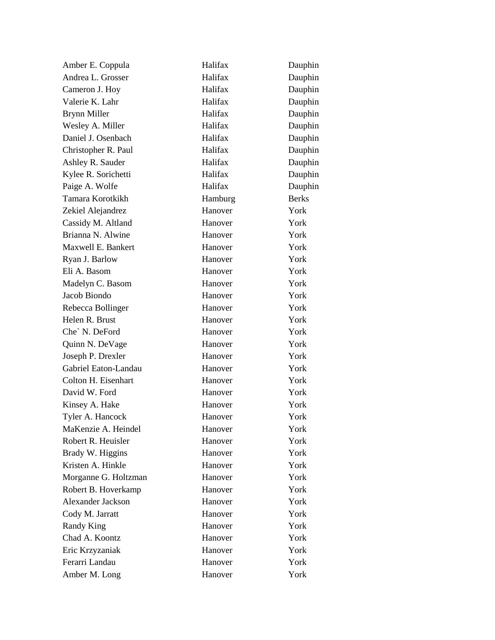| Amber E. Coppula         | Halifax | Dauphin      |
|--------------------------|---------|--------------|
| Andrea L. Grosser        | Halifax | Dauphin      |
| Cameron J. Hoy           | Halifax | Dauphin      |
| Valerie K. Lahr          | Halifax | Dauphin      |
| <b>Brynn Miller</b>      | Halifax | Dauphin      |
| Wesley A. Miller         | Halifax | Dauphin      |
| Daniel J. Osenbach       | Halifax | Dauphin      |
| Christopher R. Paul      | Halifax | Dauphin      |
| Ashley R. Sauder         | Halifax | Dauphin      |
| Kylee R. Sorichetti      | Halifax | Dauphin      |
| Paige A. Wolfe           | Halifax | Dauphin      |
| Tamara Korotkikh         | Hamburg | <b>Berks</b> |
| Zekiel Alejandrez        | Hanover | York         |
| Cassidy M. Altland       | Hanover | York         |
| Brianna N. Alwine        | Hanover | York         |
| Maxwell E. Bankert       | Hanover | York         |
| Ryan J. Barlow           | Hanover | York         |
| Eli A. Basom             | Hanover | York         |
| Madelyn C. Basom         | Hanover | York         |
| Jacob Biondo             | Hanover | York         |
| Rebecca Bollinger        | Hanover | York         |
| Helen R. Brust           | Hanover | York         |
| Che' N. DeFord           | Hanover | York         |
| Quinn N. DeVage          | Hanover | York         |
| Joseph P. Drexler        | Hanover | York         |
| Gabriel Eaton-Landau     | Hanover | York         |
| Colton H. Eisenhart      | Hanover | York         |
| David W. Ford            | Hanover | York         |
| Kinsey A. Hake           | Hanover | York         |
| Tyler A. Hancock         | Hanover | York         |
| MaKenzie A. Heindel      | Hanover | York         |
| Robert R. Heuisler       | Hanover | York         |
| Brady W. Higgins         | Hanover | York         |
| Kristen A. Hinkle        | Hanover | York         |
| Morganne G. Holtzman     | Hanover | York         |
| Robert B. Hoverkamp      | Hanover | York         |
| <b>Alexander Jackson</b> | Hanover | York         |
| Cody M. Jarratt          | Hanover | York         |
| <b>Randy King</b>        | Hanover | York         |
| Chad A. Koontz           | Hanover | York         |
| Eric Krzyzaniak          | Hanover | York         |
| Ferarri Landau           | Hanover | York         |
| Amber M. Long            | Hanover | York         |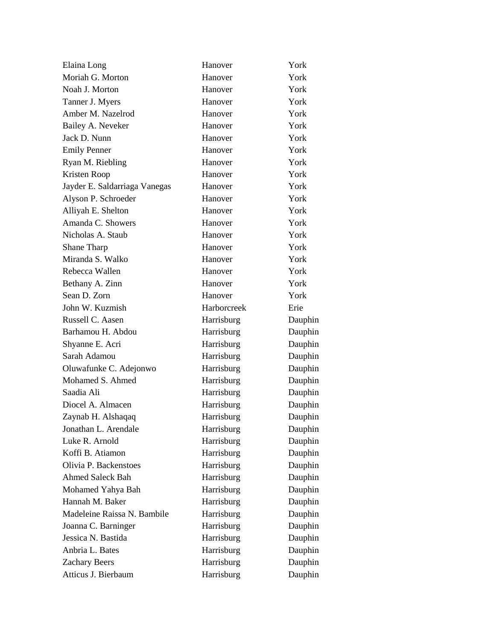| Elaina Long                   | Hanover     | York    |
|-------------------------------|-------------|---------|
| Moriah G. Morton              | Hanover     | York    |
| Noah J. Morton                | Hanover     | York    |
| Tanner J. Myers               | Hanover     | York    |
| Amber M. Nazelrod             | Hanover     | York    |
| Bailey A. Neveker             | Hanover     | York    |
| Jack D. Nunn                  | Hanover     | York    |
| <b>Emily Penner</b>           | Hanover     | York    |
| Ryan M. Riebling              | Hanover     | York    |
| Kristen Roop                  | Hanover     | York    |
| Jayder E. Saldarriaga Vanegas | Hanover     | York    |
| Alyson P. Schroeder           | Hanover     | York    |
| Alliyah E. Shelton            | Hanover     | York    |
| Amanda C. Showers             | Hanover     | York    |
| Nicholas A. Staub             | Hanover     | York    |
| Shane Tharp                   | Hanover     | York    |
| Miranda S. Walko              | Hanover     | York    |
| Rebecca Wallen                | Hanover     | York    |
| Bethany A. Zinn               | Hanover     | York    |
| Sean D. Zorn                  | Hanover     | York    |
| John W. Kuzmish               | Harborcreek | Erie    |
| Russell C. Aasen              | Harrisburg  | Dauphin |
| Barhamou H. Abdou             | Harrisburg  | Dauphin |
| Shyanne E. Acri               | Harrisburg  | Dauphin |
| Sarah Adamou                  | Harrisburg  | Dauphin |
| Oluwafunke C. Adejonwo        | Harrisburg  | Dauphin |
| Mohamed S. Ahmed              | Harrisburg  | Dauphin |
| Saadia Ali                    | Harrisburg  | Dauphin |
| Diocel A. Almacen             | Harrisburg  | Dauphin |
| Zaynab H. Alshaqaq            | Harrisburg  | Dauphin |
| Jonathan L. Arendale          | Harrisburg  | Dauphin |
| Luke R. Arnold                | Harrisburg  | Dauphin |
| Koffi B. Atiamon              | Harrisburg  | Dauphin |
| Olivia P. Backenstoes         | Harrisburg  | Dauphin |
| <b>Ahmed Saleck Bah</b>       | Harrisburg  | Dauphin |
| Mohamed Yahya Bah             | Harrisburg  | Dauphin |
| Hannah M. Baker               | Harrisburg  | Dauphin |
| Madeleine Raissa N. Bambile   | Harrisburg  | Dauphin |
| Joanna C. Barninger           | Harrisburg  | Dauphin |
| Jessica N. Bastida            | Harrisburg  | Dauphin |
| Anbria L. Bates               | Harrisburg  | Dauphin |
| <b>Zachary Beers</b>          | Harrisburg  | Dauphin |
| Atticus J. Bierbaum           | Harrisburg  | Dauphin |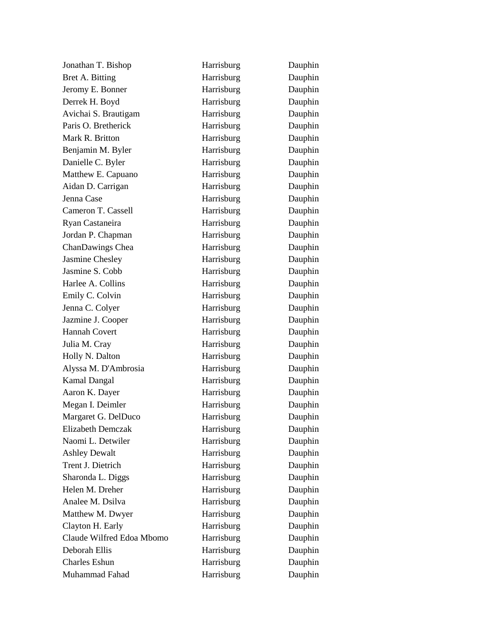Jonathan T. Bishop Harrisburg Dauphin Bret A. Bitting **Harrisburg** Dauphin Jeromy E. Bonner Harrisburg Dauphin Derrek H. Boyd **Harrisburg** Dauphin Avichai S. Brautigam Harrisburg Dauphin Paris O. Bretherick Harrisburg Dauphin Mark R. Britton **Harrisburg** Dauphin Benjamin M. Byler Harrisburg Dauphin Danielle C. Byler Harrisburg Dauphin Matthew E. Capuano **Harrisburg** Dauphin Aidan D. Carrigan Harrisburg Dauphin Jenna Case Harrisburg Dauphin Cameron T. Cassell **Harrisburg** Dauphin Ryan Castaneira **Harrisburg** Dauphin Jordan P. Chapman Harrisburg Dauphin ChanDawings Chea **Harrisburg** Dauphin Jasmine Chesley Harrisburg Dauphin Jasmine S. Cobb Harrisburg Dauphin Harlee A. Collins **Harrisburg** Dauphin Emily C. Colvin Harrisburg Dauphin Jenna C. Colyer Harrisburg Dauphin Jazmine J. Cooper **Harrisburg** Dauphin Hannah Covert Harrisburg Dauphin Julia M. Cray **Harrisburg** Dauphin Holly N. Dalton **Harrisburg** Dauphin Alyssa M. D'Ambrosia Harrisburg Dauphin Kamal Dangal **Harrisburg** Dauphin Aaron K. Dayer Harrisburg Dauphin Megan I. Deimler Harrisburg Dauphin Margaret G. DelDuco **Harrisburg** Dauphin Elizabeth Demczak Harrisburg Dauphin Naomi L. Detwiler **Harrisburg** Dauphin Ashley Dewalt **Harrisburg** Dauphin Trent J. Dietrich Harrisburg Dauphin Sharonda L. Diggs **Harrisburg** Dauphin Helen M. Dreher Harrisburg Dauphin Analee M. Dsilva **Harrisburg** Dauphin Matthew M. Dwyer **Harrisburg** Dauphin Clayton H. Early **Harrisburg** Dauphin Claude Wilfred Edoa Mbomo Harrisburg Dauphin Deborah Ellis Harrisburg Dauphin Charles Eshun Harrisburg Dauphin Muhammad Fahad **Harrisburg** Dauphin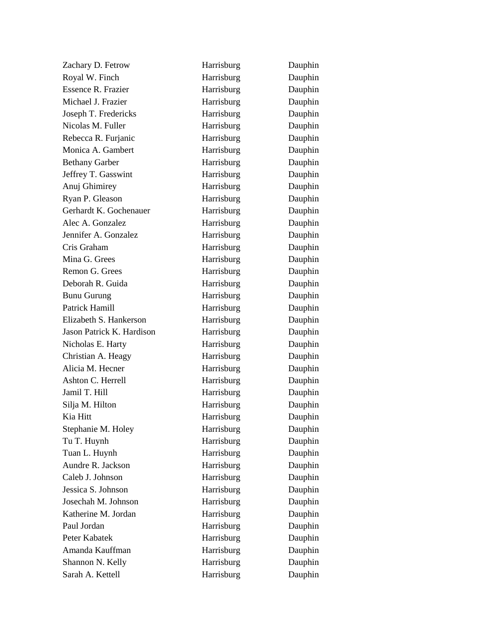Zachary D. Fetrow Harrisburg Dauphin Royal W. Finch Harrisburg Dauphin Essence R. Frazier **Harrisburg** Dauphin Michael J. Frazier **Harrisburg** Dauphin Joseph T. Fredericks Harrisburg Dauphin Nicolas M. Fuller **Harrisburg** Dauphin Rebecca R. Furjanic Harrisburg Dauphin Monica A. Gambert **Harrisburg** Dauphin Bethany Garber **Harrisburg** Dauphin Jeffrey T. Gasswint **Harrisburg** Dauphin Anuj Ghimirey **Harrisburg** Dauphin Ryan P. Gleason Harrisburg Dauphin Gerhardt K. Gochenauer Harrisburg Dauphin Alec A. Gonzalez **Harrisburg** Dauphin Jennifer A. Gonzalez Harrisburg Dauphin Cris Graham Harrisburg Dauphin Mina G. Grees **Harrisburg** Dauphin Remon G. Grees Harrisburg Dauphin Deborah R. Guida Harrisburg Dauphin Bunu Gurung Harrisburg Dauphin Patrick Hamill **Harrisburg** Dauphin Elizabeth S. Hankerson Harrisburg Dauphin Jason Patrick K. Hardison Harrisburg Dauphin Nicholas E. Harty **Harrisburg** Dauphin Christian A. Heagy Harrisburg Dauphin Alicia M. Hecner **Harrisburg** Dauphin Ashton C. Herrell **Harrisburg** Dauphin Jamil T. Hill **Harrisburg** Dauphin Silja M. Hilton **Harrisburg** Dauphin Kia Hitt **Harrisburg** Dauphin Stephanie M. Holey **Harrisburg** Dauphin Tu T. Huynh Harrisburg Dauphin Tuan L. Huynh **Harrisburg** Dauphin Aundre R. Jackson **Harrisburg** Dauphin Caleb J. Johnson Harrisburg Dauphin Jessica S. Johnson Harrisburg Dauphin Josechah M. Johnson Harrisburg Dauphin Katherine M. Jordan Harrisburg Dauphin Paul Jordan Harrisburg Dauphin Peter Kabatek Harrisburg Dauphin Amanda Kauffman **Harrisburg** Dauphin Shannon N. Kelly **Harrisburg** Dauphin Sarah A. Kettell **Harrisburg** Dauphin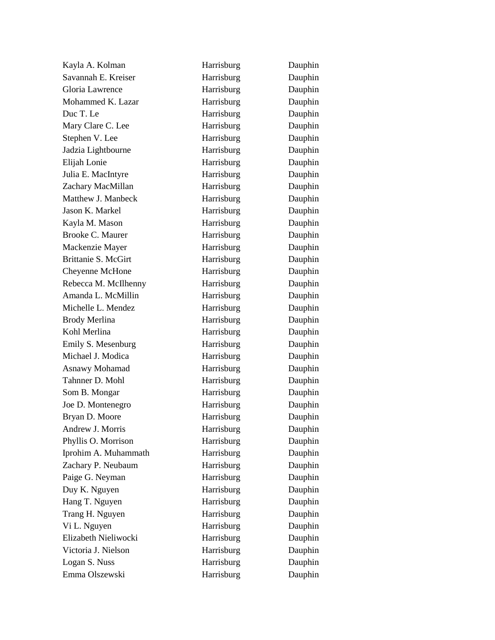Kayla A. Kolman Harrisburg Dauphin Savannah E. Kreiser Harrisburg Dauphin Gloria Lawrence **Harrisburg** Dauphin Mohammed K. Lazar **Harrisburg** Dauphin Duc T. Le **Harrisburg** Dauphin Mary Clare C. Lee **Harrisburg** Dauphin Stephen V. Lee Harrisburg Dauphin Jadzia Lightbourne Harrisburg Dauphin Elijah Lonie Harrisburg Dauphin Julia E. MacIntyre **Harrisburg** Dauphin Zachary MacMillan **Harrisburg** Dauphin Matthew J. Manbeck Harrisburg Dauphin Jason K. Markel Harrisburg Dauphin Kayla M. Mason Harrisburg Dauphin Brooke C. Maurer **Harrisburg** Dauphin Mackenzie Mayer **Harrisburg** Dauphin Brittanie S. McGirt Harrisburg Dauphin Cheyenne McHone **Harrisburg** Dauphin Rebecca M. McIlhenny Harrisburg Dauphin Amanda L. McMillin **Harrisburg** Dauphin Michelle L. Mendez **Harrisburg** Dauphin Brody Merlina **Harrisburg** Dauphin Kohl Merlina **Harrisburg** Dauphin Emily S. Mesenburg **Harrisburg** Dauphin Michael J. Modica **Harrisburg** Dauphin Asnawy Mohamad Harrisburg Dauphin Tahnner D. Mohl Harrisburg Dauphin Som B. Mongar **Harrisburg** Dauphin Joe D. Montenegro Harrisburg Dauphin Bryan D. Moore **Harrisburg** Dauphin Andrew J. Morris **Harrisburg** Dauphin Phyllis O. Morrison Harrisburg Dauphin Iprohim A. Muhammath **Harrisburg** Dauphin Zachary P. Neubaum Harrisburg Dauphin Paige G. Neyman Harrisburg Dauphin Duy K. Nguyen Harrisburg Dauphin Hang T. Nguyen **Harrisburg** Dauphin Trang H. Nguyen **Harrisburg** Dauphin Vi L. Nguyen Harrisburg Dauphin Elizabeth Nieliwocki Harrisburg Dauphin Victoria J. Nielson Harrisburg Dauphin Logan S. Nuss Harrisburg Dauphin Emma Olszewski Harrisburg Dauphin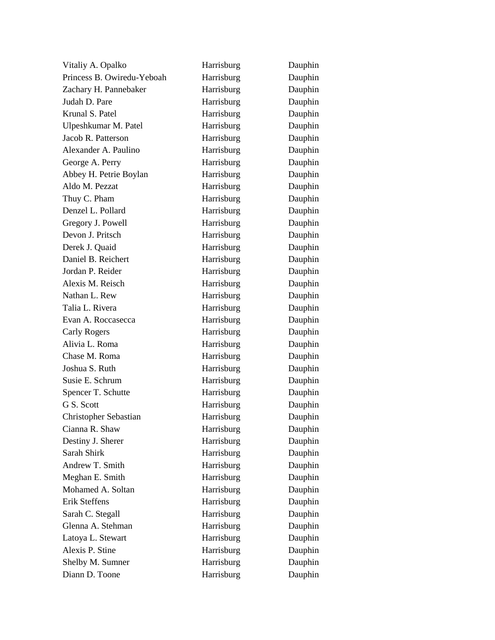| Vitaliy A. Opalko            | Harrisburg | Dauphin |
|------------------------------|------------|---------|
| Princess B. Owiredu-Yeboah   | Harrisburg | Dauphin |
| Zachary H. Pannebaker        | Harrisburg | Dauphin |
| Judah D. Pare                | Harrisburg | Dauphin |
| Krunal S. Patel              | Harrisburg | Dauphin |
| Ulpeshkumar M. Patel         | Harrisburg | Dauphin |
| Jacob R. Patterson           | Harrisburg | Dauphin |
| Alexander A. Paulino         | Harrisburg | Dauphin |
| George A. Perry              | Harrisburg | Dauphin |
| Abbey H. Petrie Boylan       | Harrisburg | Dauphin |
| Aldo M. Pezzat               | Harrisburg | Dauphin |
| Thuy C. Pham                 | Harrisburg | Dauphin |
| Denzel L. Pollard            | Harrisburg | Dauphin |
| Gregory J. Powell            | Harrisburg | Dauphin |
| Devon J. Pritsch             | Harrisburg | Dauphin |
| Derek J. Quaid               | Harrisburg | Dauphin |
| Daniel B. Reichert           | Harrisburg | Dauphin |
| Jordan P. Reider             | Harrisburg | Dauphin |
| Alexis M. Reisch             | Harrisburg | Dauphin |
| Nathan L. Rew                | Harrisburg | Dauphin |
| Talia L. Rivera              | Harrisburg | Dauphin |
| Evan A. Roccasecca           | Harrisburg | Dauphin |
| Carly Rogers                 | Harrisburg | Dauphin |
| Alivia L. Roma               | Harrisburg | Dauphin |
| Chase M. Roma                | Harrisburg | Dauphin |
| Joshua S. Ruth               | Harrisburg | Dauphin |
| Susie E. Schrum              | Harrisburg | Dauphin |
| Spencer T. Schutte           | Harrisburg | Dauphin |
| G S. Scott                   | Harrisburg | Dauphin |
| <b>Christopher Sebastian</b> | Harrisburg | Dauphin |
| Cianna R. Shaw               | Harrisburg | Dauphin |
| Destiny J. Sherer            | Harrisburg | Dauphin |
| Sarah Shirk                  | Harrisburg | Dauphin |
| Andrew T. Smith              | Harrisburg | Dauphin |
| Meghan E. Smith              | Harrisburg | Dauphin |
| Mohamed A. Soltan            | Harrisburg | Dauphin |
| <b>Erik Steffens</b>         | Harrisburg | Dauphin |
| Sarah C. Stegall             | Harrisburg | Dauphin |
| Glenna A. Stehman            | Harrisburg | Dauphin |
| Latoya L. Stewart            | Harrisburg | Dauphin |
| Alexis P. Stine              | Harrisburg | Dauphin |
| Shelby M. Sumner             | Harrisburg | Dauphin |
| Diann D. Toone               | Harrisburg | Dauphin |
|                              |            |         |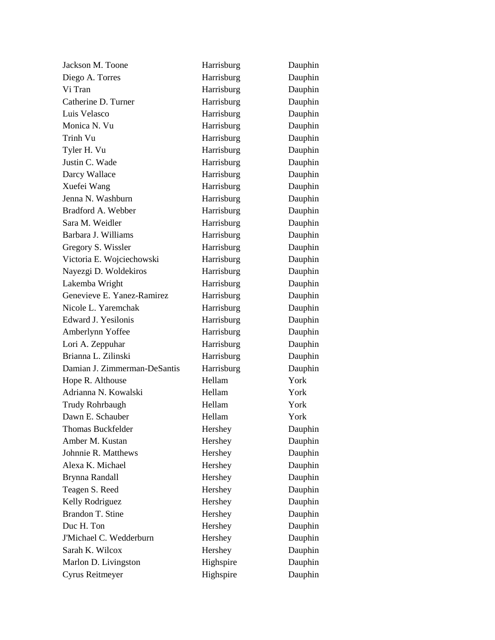| Jackson M. Toone             | Harrisburg | Dauphin |
|------------------------------|------------|---------|
| Diego A. Torres              | Harrisburg | Dauphin |
| Vi Tran                      | Harrisburg | Dauphin |
| Catherine D. Turner          | Harrisburg | Dauphin |
| Luis Velasco                 | Harrisburg | Dauphin |
| Monica N. Vu                 | Harrisburg | Dauphin |
| Trinh Vu                     | Harrisburg | Dauphin |
| Tyler H. Vu                  | Harrisburg | Dauphin |
| Justin C. Wade               | Harrisburg | Dauphin |
| Darcy Wallace                | Harrisburg | Dauphin |
| Xuefei Wang                  | Harrisburg | Dauphin |
| Jenna N. Washburn            | Harrisburg | Dauphin |
| Bradford A. Webber           | Harrisburg | Dauphin |
| Sara M. Weidler              | Harrisburg | Dauphin |
| Barbara J. Williams          | Harrisburg | Dauphin |
| Gregory S. Wissler           | Harrisburg | Dauphin |
| Victoria E. Wojciechowski    | Harrisburg | Dauphin |
| Nayezgi D. Woldekiros        | Harrisburg | Dauphin |
| Lakemba Wright               | Harrisburg | Dauphin |
| Genevieve E. Yanez-Ramirez   | Harrisburg | Dauphin |
| Nicole L. Yaremchak          | Harrisburg | Dauphin |
| Edward J. Yesilonis          | Harrisburg | Dauphin |
| Amberlynn Yoffee             | Harrisburg | Dauphin |
| Lori A. Zeppuhar             | Harrisburg | Dauphin |
| Brianna L. Zilinski          | Harrisburg | Dauphin |
| Damian J. Zimmerman-DeSantis | Harrisburg | Dauphin |
| Hope R. Althouse             | Hellam     | York    |
| Adrianna N. Kowalski         | Hellam     | York    |
| Trudy Rohrbaugh              | Hellam     | York    |
| Dawn E. Schauber             | Hellam     | York    |
| <b>Thomas Buckfelder</b>     | Hershey    | Dauphin |
| Amber M. Kustan              | Hershey    | Dauphin |
| Johnnie R. Matthews          | Hershey    | Dauphin |
| Alexa K. Michael             | Hershey    | Dauphin |
| Brynna Randall               | Hershey    | Dauphin |
| Teagen S. Reed               | Hershey    | Dauphin |
| Kelly Rodriguez              | Hershey    | Dauphin |
| Brandon T. Stine             | Hershey    | Dauphin |
| Duc H. Ton                   | Hershey    | Dauphin |
| J'Michael C. Wedderburn      | Hershey    | Dauphin |
| Sarah K. Wilcox              | Hershey    | Dauphin |
| Marlon D. Livingston         | Highspire  | Dauphin |
| Cyrus Reitmeyer              | Highspire  | Dauphin |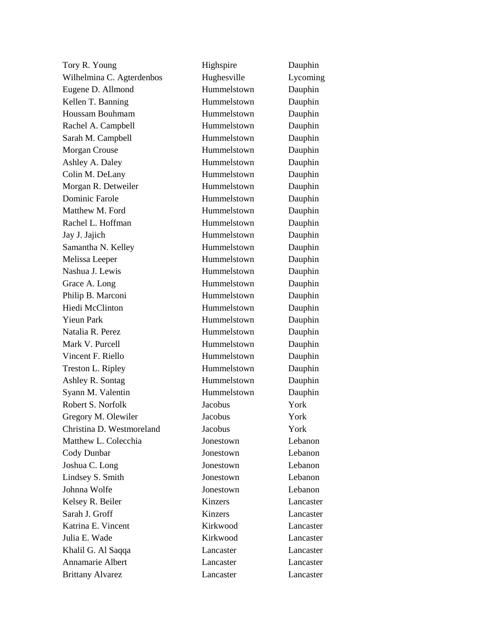| Tory R. Young             | Highspire   | Dauphin   |
|---------------------------|-------------|-----------|
| Wilhelmina C. Agterdenbos | Hughesville | Lycoming  |
| Eugene D. Allmond         | Hummelstown | Dauphin   |
| Kellen T. Banning         | Hummelstown | Dauphin   |
| Houssam Bouhmam           | Hummelstown | Dauphin   |
| Rachel A. Campbell        | Hummelstown | Dauphin   |
| Sarah M. Campbell         | Hummelstown | Dauphin   |
| <b>Morgan Crouse</b>      | Hummelstown | Dauphin   |
| Ashley A. Daley           | Hummelstown | Dauphin   |
| Colin M. DeLany           | Hummelstown | Dauphin   |
| Morgan R. Detweiler       | Hummelstown | Dauphin   |
| <b>Dominic Farole</b>     | Hummelstown | Dauphin   |
| Matthew M. Ford           | Hummelstown | Dauphin   |
| Rachel L. Hoffman         | Hummelstown | Dauphin   |
| Jay J. Jajich             | Hummelstown | Dauphin   |
| Samantha N. Kelley        | Hummelstown | Dauphin   |
| Melissa Leeper            | Hummelstown | Dauphin   |
| Nashua J. Lewis           | Hummelstown | Dauphin   |
| Grace A. Long             | Hummelstown | Dauphin   |
| Philip B. Marconi         | Hummelstown | Dauphin   |
| <b>Hiedi McClinton</b>    | Hummelstown | Dauphin   |
| <b>Yieun Park</b>         | Hummelstown | Dauphin   |
| Natalia R. Perez          | Hummelstown | Dauphin   |
| Mark V. Purcell           | Hummelstown | Dauphin   |
| Vincent F. Riello         | Hummelstown | Dauphin   |
| Treston L. Ripley         | Hummelstown | Dauphin   |
| Ashley R. Sontag          | Hummelstown | Dauphin   |
| Syann M. Valentin         | Hummelstown | Dauphin   |
| Robert S. Norfolk         | Jacobus     | York      |
| Gregory M. Olewiler       | Jacobus     | York      |
| Christina D. Westmoreland | Jacobus     | York      |
| Matthew L. Colecchia      | Jonestown   | Lebanon   |
| Cody Dunbar               | Jonestown   | Lebanon   |
| Joshua C. Long            | Jonestown   | Lebanon   |
| Lindsey S. Smith          | Jonestown   | Lebanon   |
| Johnna Wolfe              | Jonestown   | Lebanon   |
| Kelsey R. Beiler          | Kinzers     | Lancaster |
| Sarah J. Groff            | Kinzers     | Lancaster |
| Katrina E. Vincent        | Kirkwood    | Lancaster |
| Julia E. Wade             | Kirkwood    | Lancaster |
| Khalil G. Al Saqqa        | Lancaster   | Lancaster |
| Annamarie Albert          | Lancaster   | Lancaster |
| <b>Brittany Alvarez</b>   | Lancaster   | Lancaster |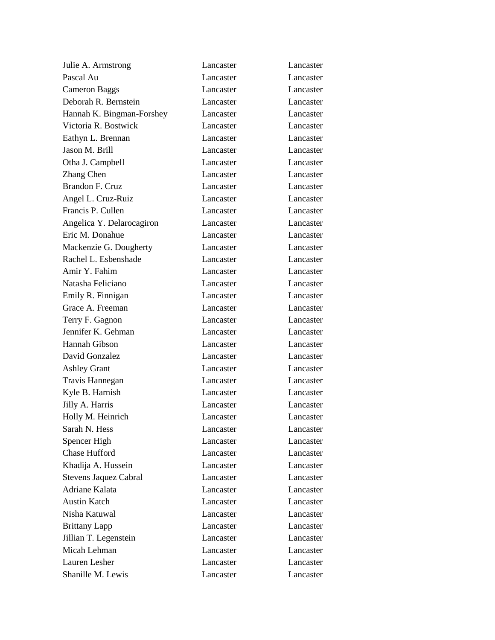| Julie A. Armstrong           | Lancaster | Lancaster |
|------------------------------|-----------|-----------|
| Pascal Au                    | Lancaster | Lancaster |
| <b>Cameron Baggs</b>         | Lancaster | Lancaster |
| Deborah R. Bernstein         | Lancaster | Lancaster |
| Hannah K. Bingman-Forshey    | Lancaster | Lancaster |
| Victoria R. Bostwick         | Lancaster | Lancaster |
| Eathyn L. Brennan            | Lancaster | Lancaster |
| Jason M. Brill               | Lancaster | Lancaster |
| Otha J. Campbell             | Lancaster | Lancaster |
| Zhang Chen                   | Lancaster | Lancaster |
| <b>Brandon F. Cruz</b>       | Lancaster | Lancaster |
| Angel L. Cruz-Ruiz           | Lancaster | Lancaster |
| Francis P. Cullen            | Lancaster | Lancaster |
| Angelica Y. Delarocagiron    | Lancaster | Lancaster |
| Eric M. Donahue              | Lancaster | Lancaster |
| Mackenzie G. Dougherty       | Lancaster | Lancaster |
| Rachel L. Esbenshade         | Lancaster | Lancaster |
| Amir Y. Fahim                | Lancaster | Lancaster |
| Natasha Feliciano            | Lancaster | Lancaster |
| Emily R. Finnigan            | Lancaster | Lancaster |
| Grace A. Freeman             | Lancaster | Lancaster |
| Terry F. Gagnon              | Lancaster | Lancaster |
| Jennifer K. Gehman           | Lancaster | Lancaster |
| Hannah Gibson                | Lancaster | Lancaster |
| David Gonzalez               | Lancaster | Lancaster |
| <b>Ashley Grant</b>          | Lancaster | Lancaster |
| Travis Hannegan              | Lancaster | Lancaster |
| Kyle B. Harnish              | Lancaster | Lancaster |
| Jilly A. Harris              | Lancaster | Lancaster |
| Holly M. Heinrich            | Lancaster | Lancaster |
| Sarah N. Hess                | Lancaster | Lancaster |
| Spencer High                 | Lancaster | Lancaster |
| Chase Hufford                | Lancaster | Lancaster |
| Khadija A. Hussein           | Lancaster | Lancaster |
| <b>Stevens Jaquez Cabral</b> | Lancaster | Lancaster |
| Adriane Kalata               | Lancaster | Lancaster |
| <b>Austin Katch</b>          | Lancaster | Lancaster |
| Nisha Katuwal                | Lancaster | Lancaster |
| <b>Brittany Lapp</b>         | Lancaster | Lancaster |
| Jillian T. Legenstein        | Lancaster | Lancaster |
| Micah Lehman                 | Lancaster | Lancaster |
| Lauren Lesher                | Lancaster | Lancaster |
| Shanille M. Lewis            | Lancaster | Lancaster |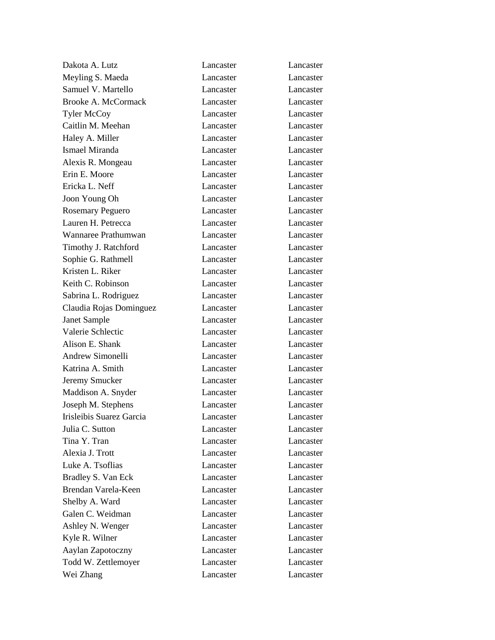Dakota A. Lutz Lancaster Lancaster Meyling S. Maeda Lancaster Lancaster Samuel V. Martello Lancaster Lancaster Lancaster Brooke A. McCormack Lancaster Lancaster Tyler McCoy Lancaster Lancaster Caitlin M. Meehan Lancaster Lancaster Haley A. Miller Lancaster Lancaster Lancaster Ismael Miranda Lancaster Lancaster Alexis R. Mongeau Lancaster Lancaster Erin E. Moore Lancaster Lancaster Ericka L. Neff Lancaster Lancaster Joon Young Oh Lancaster Lancaster Rosemary Peguero **Lancaster** Lancaster **Lancaster** Lauren H. Petrecca Lancaster Lancaster Wannaree Prathumwan Lancaster Lancaster Timothy J. Ratchford Lancaster Lancaster Sophie G. Rathmell **Lancaster** Lancaster Lancaster Kristen L. Riker Lancaster Lancaster Lancaster Lancaster Keith C. Robinson Lancaster Lancaster Lancaster Sabrina L. Rodriguez Lancaster Lancaster Claudia Rojas Dominguez Lancaster Lancaster Janet Sample Lancaster Lancaster Valerie Schlectic Lancaster Lancaster Alison E. Shank Lancaster Lancaster Lancaster Andrew Simonelli Lancaster Lancaster Katrina A. Smith Lancaster Lancaster Lancaster Jeremy Smucker Lancaster Lancaster Maddison A. Snyder Lancaster Lancaster Joseph M. Stephens Lancaster Lancaster Irisleibis Suarez Garcia Lancaster Lancaster Julia C. Sutton Lancaster Lancaster Tina Y. Tran Lancaster Lancaster Alexia J. Trott Lancaster Lancaster Luke A. Tsoflias Lancaster Lancaster Bradley S. Van Eck Lancaster Lancaster Brendan Varela-Keen Lancaster Lancaster Shelby A. Ward Lancaster Lancaster Lancaster Galen C. Weidman Lancaster Lancaster Ashley N. Wenger Lancaster Lancaster Kyle R. Wilner Lancaster Lancaster Lancaster Aaylan Zapotoczny Lancaster Lancaster Todd W. Zettlemoyer Lancaster Lancaster Wei Zhang **Lancaster** Lancaster **Lancaster**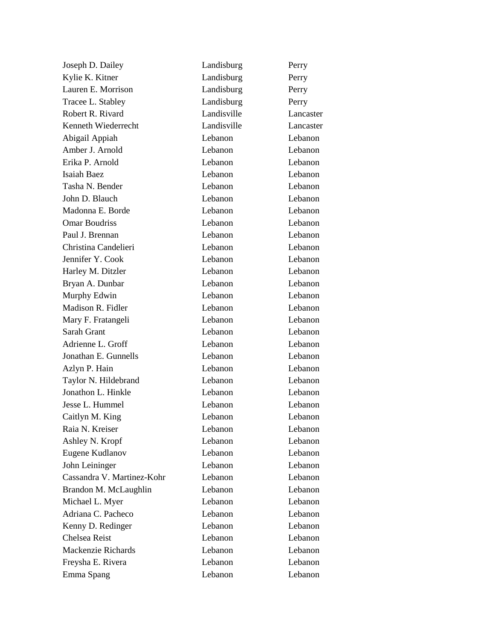| Joseph D. Dailey           | Landisburg  | Perry     |
|----------------------------|-------------|-----------|
| Kylie K. Kitner            | Landisburg  | Perry     |
| Lauren E. Morrison         | Landisburg  | Perry     |
| Tracee L. Stabley          | Landisburg  | Perry     |
| Robert R. Rivard           | Landisville | Lancaster |
| Kenneth Wiederrecht        | Landisville | Lancaster |
| Abigail Appiah             | Lebanon     | Lebanon   |
| Amber J. Arnold            | Lebanon     | Lebanon   |
| Erika P. Arnold            | Lebanon     | Lebanon   |
| Isaiah Baez                | Lebanon     | Lebanon   |
| Tasha N. Bender            | Lebanon     | Lebanon   |
| John D. Blauch             | Lebanon     | Lebanon   |
| Madonna E. Borde           | Lebanon     | Lebanon   |
| <b>Omar Boudriss</b>       | Lebanon     | Lebanon   |
| Paul J. Brennan            | Lebanon     | Lebanon   |
| Christina Candelieri       | Lebanon     | Lebanon   |
| Jennifer Y. Cook           | Lebanon     | Lebanon   |
| Harley M. Ditzler          | Lebanon     | Lebanon   |
| Bryan A. Dunbar            | Lebanon     | Lebanon   |
| Murphy Edwin               | Lebanon     | Lebanon   |
| Madison R. Fidler          | Lebanon     | Lebanon   |
| Mary F. Fratangeli         | Lebanon     | Lebanon   |
| Sarah Grant                | Lebanon     | Lebanon   |
| Adrienne L. Groff          | Lebanon     | Lebanon   |
| Jonathan E. Gunnells       | Lebanon     | Lebanon   |
| Azlyn P. Hain              | Lebanon     | Lebanon   |
| Taylor N. Hildebrand       | Lebanon     | Lebanon   |
| Jonathon L. Hinkle         | Lebanon     | Lebanon   |
| Jesse L. Hummel            | Lebanon     | Lebanon   |
| Caitlyn M. King            | Lebanon     | Lebanon   |
| Raia N. Kreiser            | Lebanon     | Lebanon   |
| Ashley N. Kropf            | Lebanon     | Lebanon   |
| Eugene Kudlanov            | Lebanon     | Lebanon   |
| John Leininger             | Lebanon     | Lebanon   |
| Cassandra V. Martinez-Kohr | Lebanon     | Lebanon   |
| Brandon M. McLaughlin      | Lebanon     | Lebanon   |
| Michael L. Myer            | Lebanon     | Lebanon   |
| Adriana C. Pacheco         | Lebanon     | Lebanon   |
| Kenny D. Redinger          | Lebanon     | Lebanon   |
| Chelsea Reist              | Lebanon     | Lebanon   |
| Mackenzie Richards         | Lebanon     | Lebanon   |
| Freysha E. Rivera          | Lebanon     | Lebanon   |
| Emma Spang                 | Lebanon     | Lebanon   |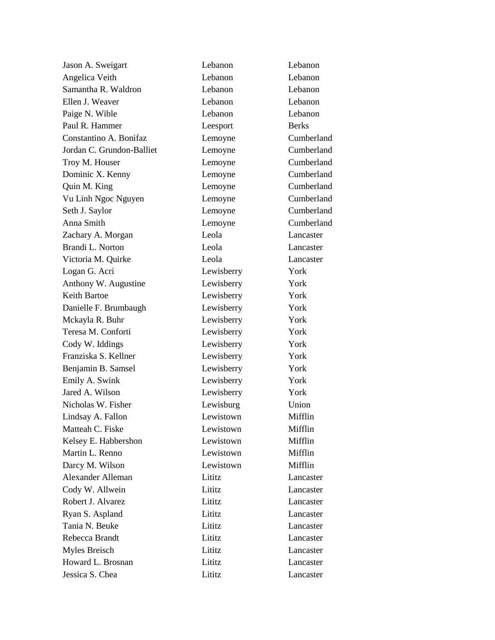| Jason A. Sweigart         | Lebanon    | Lebanon      |
|---------------------------|------------|--------------|
| Angelica Veith            | Lebanon    | Lebanon      |
| Samantha R. Waldron       | Lebanon    | Lebanon      |
| Ellen J. Weaver           | Lebanon    | Lebanon      |
| Paige N. Wible            | Lebanon    | Lebanon      |
| Paul R. Hammer            | Leesport   | <b>Berks</b> |
| Constantino A. Bonifaz    | Lemoyne    | Cumberland   |
| Jordan C. Grundon-Balliet | Lemoyne    | Cumberland   |
| Troy M. Houser            | Lemoyne    | Cumberland   |
| Dominic X. Kenny          | Lemoyne    | Cumberland   |
| Quin M. King              | Lemoyne    | Cumberland   |
| Vu Linh Ngoc Nguyen       | Lemoyne    | Cumberland   |
| Seth J. Saylor            | Lemoyne    | Cumberland   |
| Anna Smith                | Lemoyne    | Cumberland   |
| Zachary A. Morgan         | Leola      | Lancaster    |
| Brandi L. Norton          | Leola      | Lancaster    |
| Victoria M. Quirke        | Leola      | Lancaster    |
| Logan G. Acri             | Lewisberry | York         |
| Anthony W. Augustine      | Lewisberry | York         |
| <b>Keith Bartoe</b>       | Lewisberry | York         |
| Danielle F. Brumbaugh     | Lewisberry | York         |
| Mckayla R. Buhr           | Lewisberry | York         |
| Teresa M. Conforti        | Lewisberry | York         |
| Cody W. Iddings           | Lewisberry | York         |
| Franziska S. Kellner      | Lewisberry | York         |
| Benjamin B. Samsel        | Lewisberry | York         |
| Emily A. Swink            | Lewisberry | York         |
| Jared A. Wilson           | Lewisberry | York         |
| Nicholas W. Fisher        | Lewisburg  | Union        |
| Lindsay A. Fallon         | Lewistown  | Mifflin      |
| Matteah C. Fiske          | Lewistown  | Mifflin      |
| Kelsey E. Habbershon      | Lewistown  | Mifflin      |
| Martin L. Renno           | Lewistown  | Mifflin      |
| Darcy M. Wilson           | Lewistown  | Mifflin      |
| <b>Alexander Alleman</b>  | Lititz     | Lancaster    |
| Cody W. Allwein           | Lititz     | Lancaster    |
| Robert J. Alvarez         | Lititz     | Lancaster    |
| Ryan S. Aspland           | Lititz     | Lancaster    |
| Tania N. Beuke            | Lititz     | Lancaster    |
| Rebecca Brandt            | Lititz     | Lancaster    |
| Myles Breisch             | Lititz     | Lancaster    |
| Howard L. Brosnan         | Lititz     | Lancaster    |
| Jessica S. Chea           | Lititz     | Lancaster    |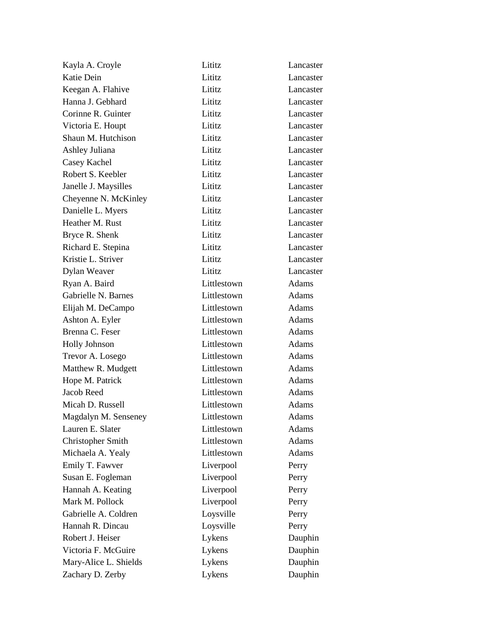| Kayla A. Croyle       | Lititz      | Lancaster    |
|-----------------------|-------------|--------------|
| Katie Dein            | Lititz      | Lancaster    |
| Keegan A. Flahive     | Lititz      | Lancaster    |
| Hanna J. Gebhard      | Lititz      | Lancaster    |
| Corinne R. Guinter    | Lititz      | Lancaster    |
| Victoria E. Houpt     | Lititz      | Lancaster    |
| Shaun M. Hutchison    | Lititz      | Lancaster    |
| Ashley Juliana        | Lititz      | Lancaster    |
| Casey Kachel          | Lititz      | Lancaster    |
| Robert S. Keebler     | Lititz      | Lancaster    |
| Janelle J. Maysilles  | Lititz      | Lancaster    |
| Cheyenne N. McKinley  | Lititz      | Lancaster    |
| Danielle L. Myers     | Lititz      | Lancaster    |
| Heather M. Rust       | Lititz      | Lancaster    |
| Bryce R. Shenk        | Lititz      | Lancaster    |
| Richard E. Stepina    | Lititz      | Lancaster    |
| Kristie L. Striver    | Lititz      | Lancaster    |
| Dylan Weaver          | Lititz      | Lancaster    |
| Ryan A. Baird         | Littlestown | Adams        |
| Gabrielle N. Barnes   | Littlestown | <b>Adams</b> |
| Elijah M. DeCampo     | Littlestown | Adams        |
| Ashton A. Eyler       | Littlestown | Adams        |
| Brenna C. Feser       | Littlestown | Adams        |
| <b>Holly Johnson</b>  | Littlestown | Adams        |
| Trevor A. Losego      | Littlestown | Adams        |
| Matthew R. Mudgett    | Littlestown | Adams        |
| Hope M. Patrick       | Littlestown | Adams        |
| <b>Jacob Reed</b>     | Littlestown | Adams        |
| Micah D. Russell      | Littlestown | Adams        |
| Magdalyn M. Senseney  | Littlestown | <b>Adams</b> |
| Lauren E. Slater      | Littlestown | Adams        |
| Christopher Smith     | Littlestown | Adams        |
| Michaela A. Yealy     | Littlestown | <b>Adams</b> |
| Emily T. Fawver       | Liverpool   | Perry        |
| Susan E. Fogleman     | Liverpool   | Perry        |
| Hannah A. Keating     | Liverpool   | Perry        |
| Mark M. Pollock       | Liverpool   | Perry        |
| Gabrielle A. Coldren  | Loysville   | Perry        |
| Hannah R. Dincau      | Loysville   | Perry        |
| Robert J. Heiser      | Lykens      | Dauphin      |
| Victoria F. McGuire   | Lykens      | Dauphin      |
| Mary-Alice L. Shields | Lykens      | Dauphin      |
| Zachary D. Zerby      | Lykens      | Dauphin      |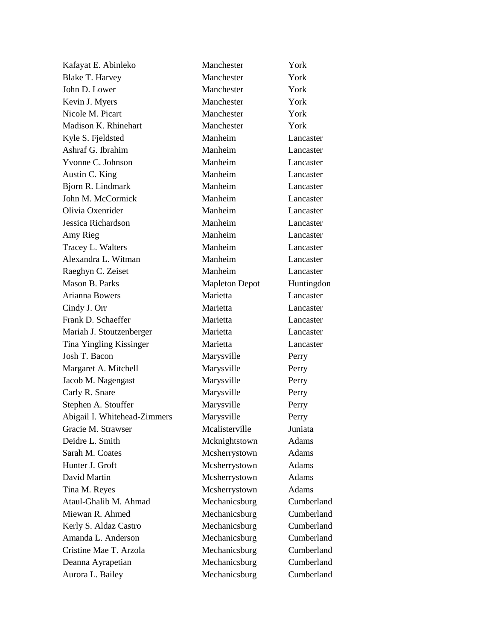| Kafayat E. Abinleko          | Manchester            | York       |
|------------------------------|-----------------------|------------|
| <b>Blake T. Harvey</b>       | Manchester            | York       |
| John D. Lower                | Manchester            | York       |
| Kevin J. Myers               | Manchester            | York       |
| Nicole M. Picart             | Manchester            | York       |
| Madison K. Rhinehart         | Manchester            | York       |
| Kyle S. Fjeldsted            | Manheim               | Lancaster  |
| Ashraf G. Ibrahim            | Manheim               | Lancaster  |
| Yvonne C. Johnson            | Manheim               | Lancaster  |
| Austin C. King               | Manheim               | Lancaster  |
| Bjorn R. Lindmark            | Manheim               | Lancaster  |
| John M. McCormick            | Manheim               | Lancaster  |
| Olivia Oxenrider             | Manheim               | Lancaster  |
| Jessica Richardson           | Manheim               | Lancaster  |
| Amy Rieg                     | Manheim               | Lancaster  |
| Tracey L. Walters            | Manheim               | Lancaster  |
| Alexandra L. Witman          | Manheim               | Lancaster  |
| Raeghyn C. Zeiset            | Manheim               | Lancaster  |
| Mason B. Parks               | <b>Mapleton Depot</b> | Huntingdon |
| Arianna Bowers               | Marietta              | Lancaster  |
| Cindy J. Orr                 | Marietta              | Lancaster  |
| Frank D. Schaeffer           | Marietta              | Lancaster  |
| Mariah J. Stoutzenberger     | Marietta              | Lancaster  |
| Tina Yingling Kissinger      | Marietta              | Lancaster  |
| Josh T. Bacon                | Marysville            | Perry      |
| Margaret A. Mitchell         | Marysville            | Perry      |
| Jacob M. Nagengast           | Marysville            | Perry      |
| Carly R. Snare               | Marysville            | Perry      |
| Stephen A. Stouffer          | Marysville            | Perry      |
| Abigail I. Whitehead-Zimmers | Marysville            | Perry      |
| Gracie M. Strawser           | Mcalisterville        | Juniata    |
| Deidre L. Smith              | Mcknightstown         | Adams      |
| Sarah M. Coates              | Mcsherrystown         | Adams      |
| Hunter J. Groft              | Mcsherrystown         | Adams      |
| David Martin                 | Mcsherrystown         | Adams      |
| Tina M. Reyes                | Mcsherrystown         | Adams      |
| Ataul-Ghalib M. Ahmad        | Mechanicsburg         | Cumberland |
| Miewan R. Ahmed              | Mechanicsburg         | Cumberland |
| Kerly S. Aldaz Castro        | Mechanicsburg         | Cumberland |
| Amanda L. Anderson           | Mechanicsburg         | Cumberland |
| Cristine Mae T. Arzola       | Mechanicsburg         | Cumberland |
| Deanna Ayrapetian            | Mechanicsburg         | Cumberland |
| Aurora L. Bailey             | Mechanicsburg         | Cumberland |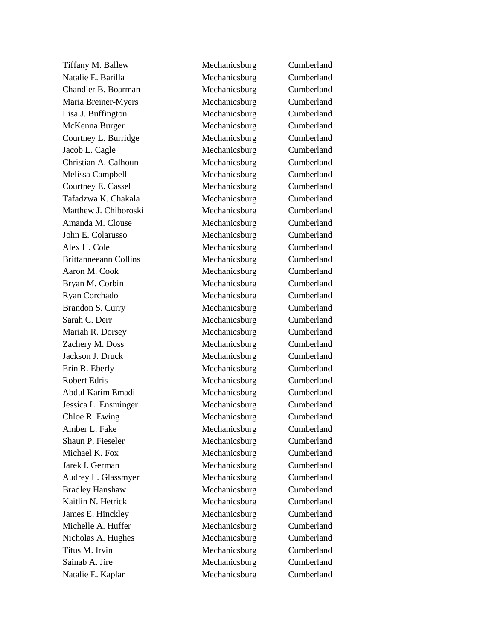Natalie E. Barilla Mechanicsburg Cumberland Chandler B. Boarman Mechanicsburg Cumberland Maria Breiner-Myers Lisa J. Buffington Mechanicsburg Cumberland McKenna Burger Mechanicsburg Cumberland Courtney L. Burridge Mechanicsburg Cumberland Jacob L. Cagle Mechanicsburg Cumberland Christian A. Calhoun Mechanicsburg Cumberland Melissa Campbell Mechanicsburg Cumberland Courtney E. Cassel Mechanicsburg Cumberland Tafadzwa K. Chakala Mechanicsburg Cumberland Matthew J. Chiboroski Mechanicsburg Cumberland Amanda M. Clouse Mechanicsburg Cumberland John E. Colarusso Mechanicsburg Cumberland Alex H. Cole Mechanicsburg Cumberland Brittanneeann Collins Mechanicsburg Cumberland Aaron M. Cook Mechanicsburg Cumberland Bryan M. Corbin Mechanicsburg Cumberland Ryan Corchado Mechanicsburg Cumberland Brandon S. Curry Mechanicsburg Cumberland Sarah C. Derr Mechanicsburg Cumberland Mariah R. Dorsey Mechanicsburg Cumberland Zachery M. Doss Mechanicsburg Cumberland Jackson J. Druck Mechanicsburg Cumberland Erin R. Eberly **Mechanicsburg** Cumberland Robert Edris Mechanicsburg Cumberland Abdul Karim Emadi Mechanicsburg Cumberland Jessica L. Ensminger Mechanicsburg Cumberland Chloe R. Ewing Mechanicsburg Cumberland Amber L. Fake Mechanicsburg Cumberland Shaun P. Fieseler Mechanicsburg Cumberland Michael K. Fox Mechanicsburg Cumberland Jarek I. German Mechanicsburg Cumberland Audrey L. Glassmyer Mechanicsburg Cumberland Bradley Hanshaw Mechanicsburg Cumberland Kaitlin N. Hetrick Mechanicsburg Cumberland James E. Hinckley Mechanicsburg Cumberland Michelle A. Huffer Mechanicsburg Cumberland Nicholas A. Hughes Mechanicsburg Cumberland Titus M. Irvin Mechanicsburg Cumberland Sainab A. Jire Mechanicsburg Cumberland Natalie E. Kaplan Mechanicsburg Cumberland

Tiffany M. Ballew Mechanicsburg Cumberland Mechanicsburg Cumberland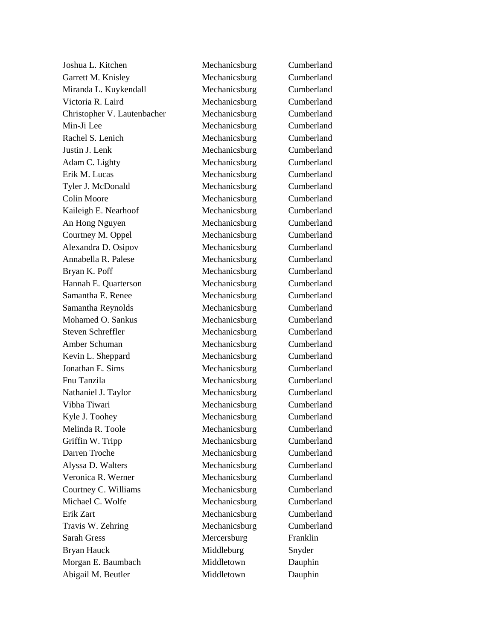Joshua L. Kitchen Mechanicsburg Cumberland Garrett M. Knisley Mechanicsburg Cumberland Miranda L. Kuykendall Mechanicsburg Cumberland Victoria R. Laird Mechanicsburg Cumberland Christopher V. Lautenbacher Mechanicsburg Cumberland Min-Ji Lee Mechanicsburg Cumberland Rachel S. Lenich Mechanicsburg Cumberland Justin J. Lenk Mechanicsburg Cumberland Adam C. Lighty Mechanicsburg Cumberland Erik M. Lucas Mechanicsburg Cumberland Tyler J. McDonald Mechanicsburg Cumberland Colin Moore Mechanicsburg Cumberland Kaileigh E. Nearhoof Mechanicsburg Cumberland An Hong Nguyen Mechanicsburg Cumberland Courtney M. Oppel Mechanicsburg Cumberland Alexandra D. Osipov Mechanicsburg Cumberland Annabella R. Palese Mechanicsburg Cumberland Bryan K. Poff Mechanicsburg Cumberland Hannah E. Quarterson Mechanicsburg Cumberland Samantha E. Renee Mechanicsburg Cumberland Samantha Reynolds Mechanicsburg Cumberland Mohamed O. Sankus Mechanicsburg Cumberland Steven Schreffler Mechanicsburg Cumberland Amber Schuman Mechanicsburg Cumberland Kevin L. Sheppard Mechanicsburg Cumberland Jonathan E. Sims Mechanicsburg Cumberland Fnu Tanzila Mechanicsburg Cumberland Nathaniel J. Taylor Mechanicsburg Cumberland Vibha Tiwari Mechanicsburg Cumberland Kyle J. Toohey Mechanicsburg Cumberland Melinda R. Toole Mechanicsburg Cumberland Griffin W. Tripp Mechanicsburg Cumberland Darren Troche Mechanicsburg Cumberland Alyssa D. Walters Mechanicsburg Cumberland Veronica R. Werner Mechanicsburg Cumberland Courtney C. Williams Mechanicsburg Cumberland Michael C. Wolfe Mechanicsburg Cumberland Erik Zart Mechanicsburg Cumberland Travis W. Zehring Mechanicsburg Cumberland Sarah Gress Mercersburg Franklin Bryan Hauck Middleburg Snyder Morgan E. Baumbach Middletown Dauphin Abigail M. Beutler Middletown Dauphin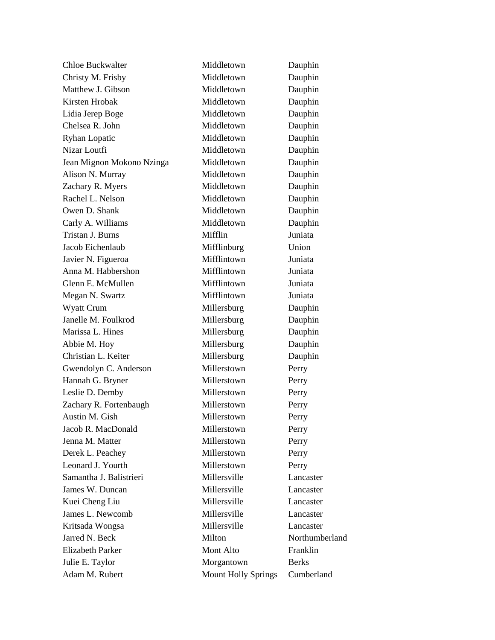| <b>Chloe Buckwalter</b>   | Middletown                 | Dauphin        |
|---------------------------|----------------------------|----------------|
| Christy M. Frisby         | Middletown                 | Dauphin        |
| Matthew J. Gibson         | Middletown                 | Dauphin        |
| Kirsten Hrobak            | Middletown                 | Dauphin        |
| Lidia Jerep Boge          | Middletown                 | Dauphin        |
| Chelsea R. John           | Middletown                 | Dauphin        |
| <b>Ryhan Lopatic</b>      | Middletown                 | Dauphin        |
| Nizar Loutfi              | Middletown                 | Dauphin        |
| Jean Mignon Mokono Nzinga | Middletown                 | Dauphin        |
| Alison N. Murray          | Middletown                 | Dauphin        |
| Zachary R. Myers          | Middletown                 | Dauphin        |
| Rachel L. Nelson          | Middletown                 | Dauphin        |
| Owen D. Shank             | Middletown                 | Dauphin        |
| Carly A. Williams         | Middletown                 | Dauphin        |
| Tristan J. Burns          | Mifflin                    | Juniata        |
| Jacob Eichenlaub          | Mifflinburg                | Union          |
| Javier N. Figueroa        | Mifflintown                | Juniata        |
| Anna M. Habbershon        | Mifflintown                | Juniata        |
| Glenn E. McMullen         | Mifflintown                | Juniata        |
| Megan N. Swartz           | Mifflintown                | Juniata        |
| <b>Wyatt Crum</b>         | Millersburg                | Dauphin        |
| Janelle M. Foulkrod       | Millersburg                | Dauphin        |
| Marissa L. Hines          | Millersburg                | Dauphin        |
| Abbie M. Hoy              | Millersburg                | Dauphin        |
| Christian L. Keiter       | Millersburg                | Dauphin        |
| Gwendolyn C. Anderson     | Millerstown                | Perry          |
| Hannah G. Bryner          | Millerstown                | Perry          |
| Leslie D. Demby           | Millerstown                | Perry          |
| Zachary R. Fortenbaugh    | Millerstown                | Perry          |
| Austin M. Gish            | Millerstown                | Perry          |
| Jacob R. MacDonald        | Millerstown                | Perry          |
| Jenna M. Matter           | Millerstown                | Perry          |
| Derek L. Peachey          | Millerstown                | Perry          |
| Leonard J. Yourth         | Millerstown                | Perry          |
| Samantha J. Balistrieri   | Millersville               | Lancaster      |
| James W. Duncan           | Millersville               | Lancaster      |
| Kuei Cheng Liu            | Millersville               | Lancaster      |
| James L. Newcomb          | Millersville               | Lancaster      |
| Kritsada Wongsa           | Millersville               | Lancaster      |
| Jarred N. Beck            | Milton                     | Northumberland |
| <b>Elizabeth Parker</b>   | Mont Alto                  | Franklin       |
| Julie E. Taylor           | Morgantown                 | <b>Berks</b>   |
| Adam M. Rubert            | <b>Mount Holly Springs</b> | Cumberland     |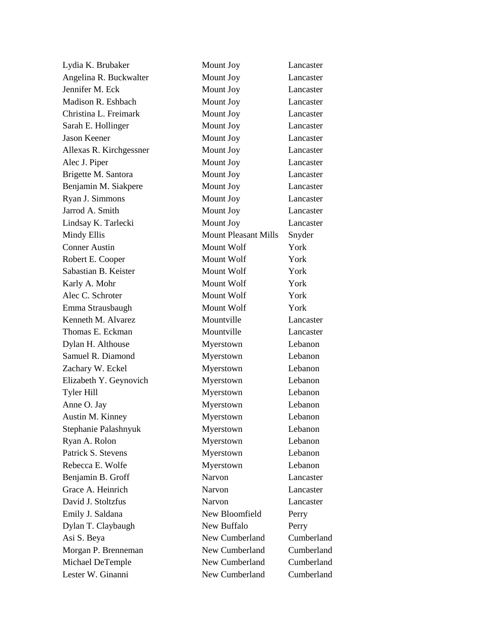| Lydia K. Brubaker       | Mount Joy                   | Lancaster  |
|-------------------------|-----------------------------|------------|
| Angelina R. Buckwalter  | Mount Joy                   | Lancaster  |
| Jennifer M. Eck         | Mount Joy                   | Lancaster  |
| Madison R. Eshbach      | Mount Joy                   | Lancaster  |
| Christina L. Freimark   | Mount Joy                   | Lancaster  |
| Sarah E. Hollinger      | Mount Joy                   | Lancaster  |
| <b>Jason Keener</b>     | Mount Joy                   | Lancaster  |
| Allexas R. Kirchgessner | Mount Joy                   | Lancaster  |
| Alec J. Piper           | Mount Joy                   | Lancaster  |
| Brigette M. Santora     | Mount Joy                   | Lancaster  |
| Benjamin M. Siakpere    | Mount Joy                   | Lancaster  |
| Ryan J. Simmons         | Mount Joy                   | Lancaster  |
| Jarrod A. Smith         | Mount Joy                   | Lancaster  |
| Lindsay K. Tarlecki     | Mount Joy                   | Lancaster  |
| Mindy Ellis             | <b>Mount Pleasant Mills</b> | Snyder     |
| <b>Conner Austin</b>    | Mount Wolf                  | York       |
| Robert E. Cooper        | Mount Wolf                  | York       |
| Sabastian B. Keister    | Mount Wolf                  | York       |
| Karly A. Mohr           | Mount Wolf                  | York       |
| Alec C. Schroter        | Mount Wolf                  | York       |
| Emma Strausbaugh        | Mount Wolf                  | York       |
| Kenneth M. Alvarez      | Mountville                  | Lancaster  |
| Thomas E. Eckman        | Mountville                  | Lancaster  |
| Dylan H. Althouse       | Myerstown                   | Lebanon    |
| Samuel R. Diamond       | Myerstown                   | Lebanon    |
| Zachary W. Eckel        | Myerstown                   | Lebanon    |
| Elizabeth Y. Geynovich  | Myerstown                   | Lebanon    |
| <b>Tyler Hill</b>       | Myerstown                   | Lebanon    |
| Anne O. Jay             | Myerstown                   | Lebanon    |
| Austin M. Kinney        | Myerstown                   | Lebanon    |
| Stephanie Palashnyuk    | Myerstown                   | Lebanon    |
| Ryan A. Rolon           | Myerstown                   | Lebanon    |
| Patrick S. Stevens      | Myerstown                   | Lebanon    |
| Rebecca E. Wolfe        | Myerstown                   | Lebanon    |
| Benjamin B. Groff       | Narvon                      | Lancaster  |
| Grace A. Heinrich       | Narvon                      | Lancaster  |
| David J. Stoltzfus      | Narvon                      | Lancaster  |
| Emily J. Saldana        | New Bloomfield              | Perry      |
| Dylan T. Claybaugh      | New Buffalo                 | Perry      |
| Asi S. Beya             | New Cumberland              | Cumberland |
| Morgan P. Brenneman     | New Cumberland              | Cumberland |
| Michael DeTemple        | New Cumberland              | Cumberland |
| Lester W. Ginanni       | New Cumberland              | Cumberland |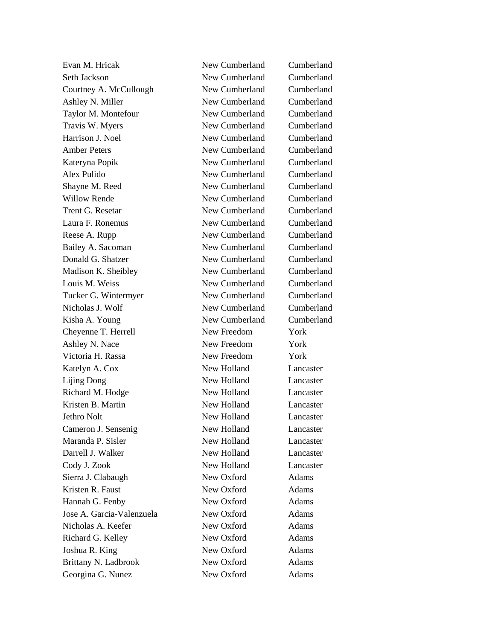Seth Jackson New Cumberland Cumberland Courtney A. McCullough New Cumberland Cumberland Ashley N. Miller New Cumberland Cumberland Taylor M. Montefour New Cumberland Cumberland Travis W. Myers New Cumberland Cumberland Harrison J. Noel New Cumberland Cumberland Amber Peters New Cumberland Cumberland Kateryna Popik New Cumberland Cumberland Alex Pulido New Cumberland Cumberland Shayne M. Reed New Cumberland Cumberland Willow Rende New Cumberland Cumberland Trent G. Resetar New Cumberland Cumberland Laura F. Ronemus New Cumberland Cumberland Reese A. Rupp New Cumberland Cumberland Bailey A. Sacoman New Cumberland Cumberland Donald G. Shatzer New Cumberland Cumberland Madison K. Sheibley New Cumberland Cumberland Louis M. Weiss New Cumberland Cumberland Tucker G. Wintermyer New Cumberland Cumberland Nicholas J. Wolf New Cumberland Cumberland Kisha A. Young New Cumberland Cumberland Cheyenne T. Herrell New Freedom York Ashley N. Nace New Freedom York Victoria H. Rassa New Freedom York Katelyn A. Cox New Holland Lancaster Lijing Dong New Holland Lancaster Richard M. Hodge New Holland Lancaster Kristen B. Martin New Holland Lancaster Jethro Nolt New Holland Lancaster Cameron J. Sensenig New Holland Lancaster Maranda P. Sisler New Holland Lancaster Darrell J. Walker New Holland Lancaster Cody J. Zook New Holland Lancaster Sierra J. Clabaugh New Oxford Adams Kristen R. Faust New Oxford Adams Hannah G. Fenby New Oxford Adams Jose A. Garcia-Valenzuela New Oxford Adams Nicholas A. Keefer New Oxford Adams Richard G. Kelley New Oxford Adams Joshua R. King New Oxford Adams Brittany N. Ladbrook New Oxford Adams

Evan M. Hricak New Cumberland Cumberland Georgina G. Nunez New Oxford Adams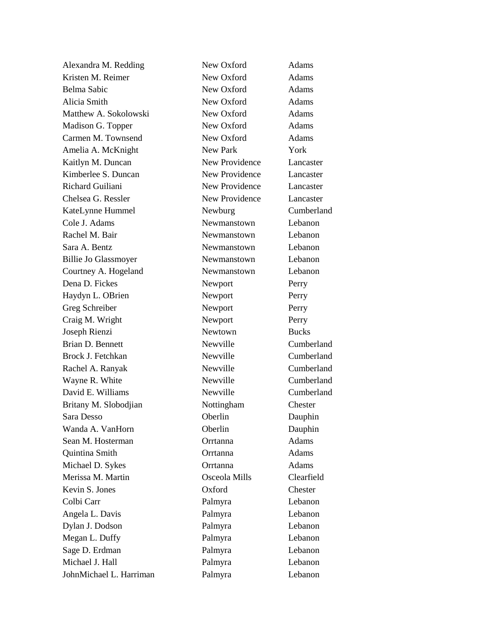Alexandra M. Redding New Oxford Adams Kristen M. Reimer New Oxford Adams Belma Sabic New Oxford Adams Alicia Smith New Oxford Adams Matthew A. Sokolowski New Oxford Adams Madison G. Topper New Oxford Adams Carmen M. Townsend New Oxford Adams Amelia A. McKnight New Park York Kaitlyn M. Duncan New Providence Lancaster Kimberlee S. Duncan New Providence Lancaster Richard Guiliani New Providence Lancaster Chelsea G. Ressler New Providence Lancaster KateLynne Hummel Newburg Cumberland Cole J. Adams Newmanstown Lebanon Rachel M. Bair Newmanstown Lebanon Sara A. Bentz Newmanstown Lebanon Billie Jo Glassmoyer Newmanstown Lebanon Courtney A. Hogeland Newmanstown Lebanon Dena D. Fickes Newport Perry Haydyn L. OBrien Newport Perry Greg Schreiber Newport Perry Craig M. Wright Newport Perry Joseph Rienzi Newtown Bucks Brian D. Bennett Newville Cumberland Brock J. Fetchkan Newville Cumberland Rachel A. Ranyak Newville Cumberland Wayne R. White Newville Cumberland David E. Williams Newville Cumberland Britany M. Slobodjian Nottingham Chester Sara Desso **Oberlin** Dauphin Wanda A. VanHorn **Oberlin** Oberlin Dauphin Sean M. Hosterman **Contrainer Orrtanna** Adams Quintina Smith Orrtanna Adams Michael D. Sykes **Orrtanna** Adams Merissa M. Martin Osceola Mills Clearfield Kevin S. Jones Oxford Chester Colbi Carr Palmyra Lebanon Angela L. Davis Palmyra Lebanon Dylan J. Dodson Palmyra Lebanon Megan L. Duffy Palmyra Palmyra Lebanon Sage D. Erdman Palmyra Palmyra Lebanon Michael J. Hall Palmyra Lebanon JohnMichael L. Harriman Palmyra Lebanon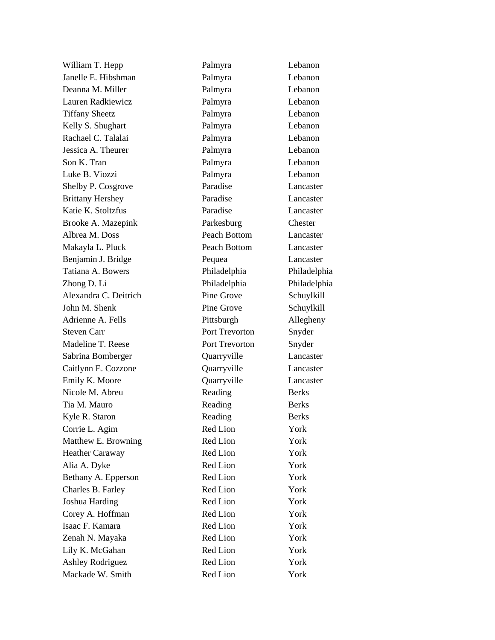Deanna M. Miller Palmyra Lebanon Shelby P. Cosgrove Paradise Lancaster Tatiana A. Bowers Philadelphia Philadelphia Steven Carr Port Trevorton Snyder Emily K. Moore **Quarryville** Lancaster Charles B. Farley Red Lion York

William T. Hepp Palmyra Palmyra Lebanon Janelle E. Hibshman Palmyra Lebanon Lauren Radkiewicz Palmyra Lebanon Tiffany Sheetz Palmyra Lebanon Kelly S. Shughart Palmyra Lebanon Rachael C. Talalai Palmyra Lebanon Jessica A. Theurer **Palmyra** Palmyra Lebanon Son K. Tran Palmyra Lebanon Luke B. Viozzi Palmyra Lebanon Brittany Hershey Paradise Lancaster Katie K. Stoltzfus Paradise Lancaster Brooke A. Mazepink Parkesburg Chester Albrea M. Doss Peach Bottom Lancaster Makayla L. Pluck Peach Bottom Lancaster Benjamin J. Bridge Pequea Lancaster Zhong D. Li Philadelphia Philadelphia Alexandra C. Deitrich Pine Grove Schuylkill John M. Shenk Pine Grove Schuylkill Adrienne A. Fells Pittsburgh Allegheny Madeline T. Reese Port Trevorton Snyder Sabrina Bomberger Quarryville Lancaster Caitlynn E. Cozzone Quarryville Lancaster Nicole M. Abreu Reading Berks Tia M. Mauro Reading Berks Kyle R. Staron Reading Berks Corrie L. Agim Red Lion Red Lion Matthew E. Browning Red Lion York Heather Caraway **Red Lion** York Alia A. Dyke Red Lion York Bethany A. Epperson Red Lion York Joshua Harding Red Lion York Corey A. Hoffman Red Lion York Isaac F. Kamara Red Lion York Zenah N. Mayaka Red Lion York Lily K. McGahan Red Lion York Ashley Rodriguez Red Lion York Mackade W. Smith Red Lion York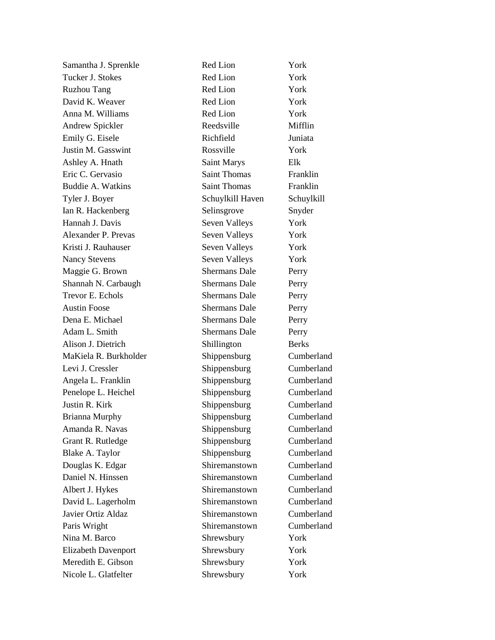| Samantha J. Sprenkle       | Red Lion             | York         |
|----------------------------|----------------------|--------------|
| Tucker J. Stokes           | Red Lion             | York         |
| <b>Ruzhou Tang</b>         | Red Lion             | York         |
| David K. Weaver            | Red Lion             | York         |
| Anna M. Williams           | Red Lion             | York         |
| Andrew Spickler            | Reedsville           | Mifflin      |
| Emily G. Eisele            | Richfield            | Juniata      |
| Justin M. Gasswint         | Rossville            | York         |
| Ashley A. Hnath            | <b>Saint Marys</b>   | Elk          |
| Eric C. Gervasio           | <b>Saint Thomas</b>  | Franklin     |
| <b>Buddie A. Watkins</b>   | <b>Saint Thomas</b>  | Franklin     |
| Tyler J. Boyer             | Schuylkill Haven     | Schuylkill   |
| Ian R. Hackenberg          | Selinsgrove          | Snyder       |
| Hannah J. Davis            | Seven Valleys        | York         |
| Alexander P. Prevas        | Seven Valleys        | York         |
| Kristi J. Rauhauser        | Seven Valleys        | York         |
| <b>Nancy Stevens</b>       | Seven Valleys        | York         |
| Maggie G. Brown            | <b>Shermans Dale</b> | Perry        |
| Shannah N. Carbaugh        | <b>Shermans Dale</b> | Perry        |
| Trevor E. Echols           | <b>Shermans Dale</b> | Perry        |
| <b>Austin Foose</b>        | <b>Shermans Dale</b> | Perry        |
| Dena E. Michael            | <b>Shermans Dale</b> | Perry        |
| Adam L. Smith              | <b>Shermans Dale</b> | Perry        |
| Alison J. Dietrich         | Shillington          | <b>Berks</b> |
| MaKiela R. Burkholder      | Shippensburg         | Cumberland   |
| Levi J. Cressler           | Shippensburg         | Cumberland   |
| Angela L. Franklin         | Shippensburg         | Cumberland   |
| Penelope L. Heichel        | Shippensburg         | Cumberland   |
| Justin R. Kirk             | Shippensburg         | Cumberland   |
| <b>Brianna Murphy</b>      | Shippensburg         | Cumberland   |
| Amanda R. Navas            | Shippensburg         | Cumberland   |
| Grant R. Rutledge          | Shippensburg         | Cumberland   |
| Blake A. Taylor            | Shippensburg         | Cumberland   |
| Douglas K. Edgar           | Shiremanstown        | Cumberland   |
| Daniel N. Hinssen          | Shiremanstown        | Cumberland   |
| Albert J. Hykes            | Shiremanstown        | Cumberland   |
| David L. Lagerholm         | Shiremanstown        | Cumberland   |
| Javier Ortiz Aldaz         | Shiremanstown        | Cumberland   |
| Paris Wright               | Shiremanstown        | Cumberland   |
| Nina M. Barco              | Shrewsbury           | York         |
| <b>Elizabeth Davenport</b> | Shrewsbury           | York         |
| Meredith E. Gibson         | Shrewsbury           | York         |
| Nicole L. Glatfelter       | Shrewsbury           | York         |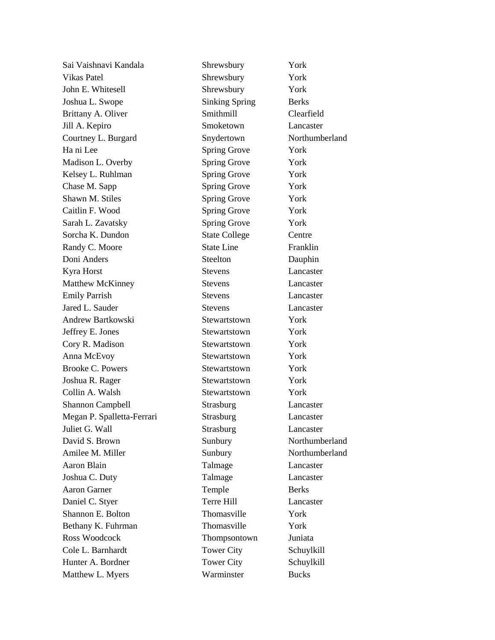| Sai Vaishnavi Kandala      | Shrewsbury            | York           |
|----------------------------|-----------------------|----------------|
| <b>Vikas Patel</b>         | Shrewsbury            | York           |
| John E. Whitesell          | Shrewsbury            | York           |
| Joshua L. Swope            | <b>Sinking Spring</b> | <b>Berks</b>   |
| Brittany A. Oliver         | Smithmill             | Clearfield     |
| Jill A. Kepiro             | Smoketown             | Lancaster      |
| Courtney L. Burgard        | Snydertown            | Northumberland |
| Ha ni Lee                  | Spring Grove          | York           |
| Madison L. Overby          | <b>Spring Grove</b>   | York           |
| Kelsey L. Ruhlman          | Spring Grove          | York           |
| Chase M. Sapp              | Spring Grove          | York           |
| Shawn M. Stiles            | <b>Spring Grove</b>   | York           |
| Caitlin F. Wood            | Spring Grove          | York           |
| Sarah L. Zavatsky          | Spring Grove          | York           |
| Sorcha K. Dundon           | <b>State College</b>  | Centre         |
| Randy C. Moore             | <b>State Line</b>     | Franklin       |
| Doni Anders                | Steelton              | Dauphin        |
| Kyra Horst                 | <b>Stevens</b>        | Lancaster      |
| <b>Matthew McKinney</b>    | <b>Stevens</b>        | Lancaster      |
| <b>Emily Parrish</b>       | <b>Stevens</b>        | Lancaster      |
| Jared L. Sauder            | <b>Stevens</b>        | Lancaster      |
| Andrew Bartkowski          | Stewartstown          | York           |
| Jeffrey E. Jones           | Stewartstown          | York           |
| Cory R. Madison            | Stewartstown          | York           |
| Anna McEvoy                | Stewartstown          | York           |
| <b>Brooke C. Powers</b>    | Stewartstown          | York           |
| Joshua R. Rager            | Stewartstown          | York           |
| Collin A. Walsh            | Stewartstown          | York           |
| <b>Shannon Campbell</b>    | Strasburg             | Lancaster      |
| Megan P. Spalletta-Ferrari | Strasburg             | Lancaster      |
| Juliet G. Wall             | Strasburg             | Lancaster      |
| David S. Brown             | Sunbury               | Northumberland |
| Amilee M. Miller           | Sunbury               | Northumberland |
| Aaron Blain                | Talmage               | Lancaster      |
| Joshua C. Duty             | Talmage               | Lancaster      |
| <b>Aaron Garner</b>        | Temple                | <b>Berks</b>   |
| Daniel C. Styer            | Terre Hill            | Lancaster      |
| Shannon E. Bolton          | Thomasville           | York           |
| Bethany K. Fuhrman         | Thomasville           | York           |
| Ross Woodcock              | Thompsontown          | Juniata        |
| Cole L. Barnhardt          | <b>Tower City</b>     | Schuylkill     |
| Hunter A. Bordner          | <b>Tower City</b>     | Schuylkill     |
| Matthew L. Myers           | Warminster            | <b>Bucks</b>   |
|                            |                       |                |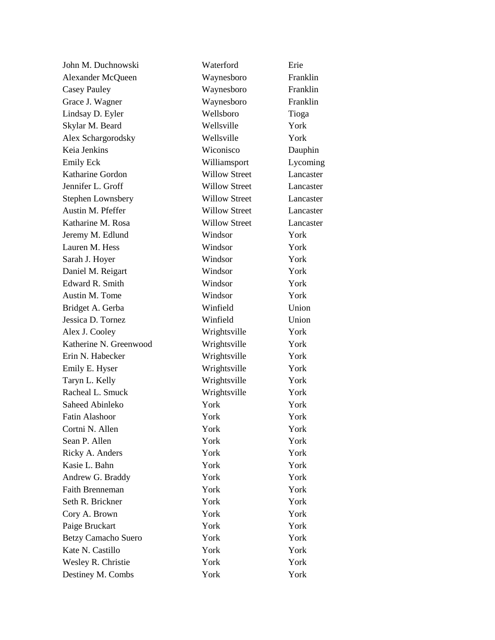| John M. Duchnowski       | Waterford            | Erie      |
|--------------------------|----------------------|-----------|
| Alexander McQueen        | Waynesboro           | Franklin  |
| <b>Casey Pauley</b>      | Waynesboro           | Franklin  |
| Grace J. Wagner          | Waynesboro           | Franklin  |
| Lindsay D. Eyler         | Wellsboro            | Tioga     |
| Skylar M. Beard          | Wellsville           | York      |
| Alex Schargorodsky       | Wellsville           | York      |
| Keia Jenkins             | Wiconisco            | Dauphin   |
| <b>Emily Eck</b>         | Williamsport         | Lycoming  |
| Katharine Gordon         | <b>Willow Street</b> | Lancaster |
| Jennifer L. Groff        | <b>Willow Street</b> | Lancaster |
| <b>Stephen Lownsbery</b> | <b>Willow Street</b> | Lancaster |
| Austin M. Pfeffer        | <b>Willow Street</b> | Lancaster |
| Katharine M. Rosa        | <b>Willow Street</b> | Lancaster |
| Jeremy M. Edlund         | Windsor              | York      |
| Lauren M. Hess           | Windsor              | York      |
| Sarah J. Hoyer           | Windsor              | York      |
| Daniel M. Reigart        | Windsor              | York      |
| Edward R. Smith          | Windsor              | York      |
| Austin M. Tome           | Windsor              | York      |
| Bridget A. Gerba         | Winfield             | Union     |
| Jessica D. Tornez        | Winfield             | Union     |
| Alex J. Cooley           | Wrightsville         | York      |
| Katherine N. Greenwood   | Wrightsville         | York      |
| Erin N. Habecker         | Wrightsville         | York      |
| Emily E. Hyser           | Wrightsville         | York      |
| Taryn L. Kelly           | Wrightsville         | York      |
| Racheal L. Smuck         | Wrightsville         | York      |
| Saheed Abinleko          | York                 | York      |
| <b>Fatin Alashoor</b>    | York                 | York      |
| Cortni N. Allen          | York                 | York      |
| Sean P. Allen            | York                 | York      |
| Ricky A. Anders          | York                 | York      |
| Kasie L. Bahn            | York                 | York      |
| Andrew G. Braddy         | York                 | York      |
| Faith Brenneman          | York                 | York      |
| Seth R. Brickner         | York                 | York      |
| Cory A. Brown            | York                 | York      |
| Paige Bruckart           | York                 | York      |
| Betzy Camacho Suero      | York                 | York      |
| Kate N. Castillo         | York                 | York      |
| Wesley R. Christie       | York                 | York      |
| Destiney M. Combs        | York                 | York      |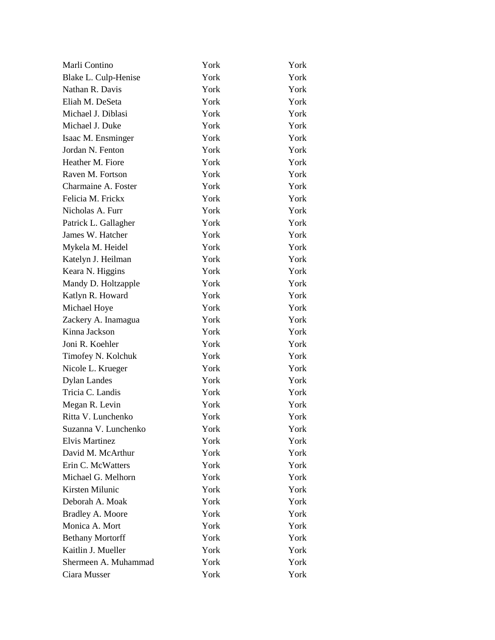| Marli Contino           | York | York |
|-------------------------|------|------|
| Blake L. Culp-Henise    | York | York |
| Nathan R. Davis         | York | York |
| Eliah M. DeSeta         | York | York |
| Michael J. Diblasi      | York | York |
| Michael J. Duke         | York | York |
| Isaac M. Ensminger      | York | York |
| Jordan N. Fenton        | York | York |
| Heather M. Fiore        | York | York |
| Raven M. Fortson        | York | York |
| Charmaine A. Foster     | York | York |
| Felicia M. Frickx       | York | York |
| Nicholas A. Furr        | York | York |
| Patrick L. Gallagher    | York | York |
| James W. Hatcher        | York | York |
| Mykela M. Heidel        | York | York |
| Katelyn J. Heilman      | York | York |
| Keara N. Higgins        | York | York |
| Mandy D. Holtzapple     | York | York |
| Katlyn R. Howard        | York | York |
| Michael Hoye            | York | York |
| Zackery A. Inamagua     | York | York |
| Kinna Jackson           | York | York |
| Joni R. Koehler         | York | York |
| Timofey N. Kolchuk      | York | York |
| Nicole L. Krueger       | York | York |
| <b>Dylan Landes</b>     | York | York |
| Tricia C. Landis        | York | York |
| Megan R. Levin          | York | York |
| Ritta V. Lunchenko      | York | York |
| Suzanna V. Lunchenko    | York | York |
| <b>Elvis Martinez</b>   | York | York |
| David M. McArthur       | York | York |
| Erin C. McWatters       | York | York |
| Michael G. Melhorn      | York | York |
| Kirsten Milunic         | York | York |
| Deborah A. Moak         | York | York |
| Bradley A. Moore        | York | York |
| Monica A. Mort          | York | York |
| <b>Bethany Mortorff</b> | York | York |
| Kaitlin J. Mueller      | York | York |
| Shermeen A. Muhammad    | York | York |
| Ciara Musser            | York | York |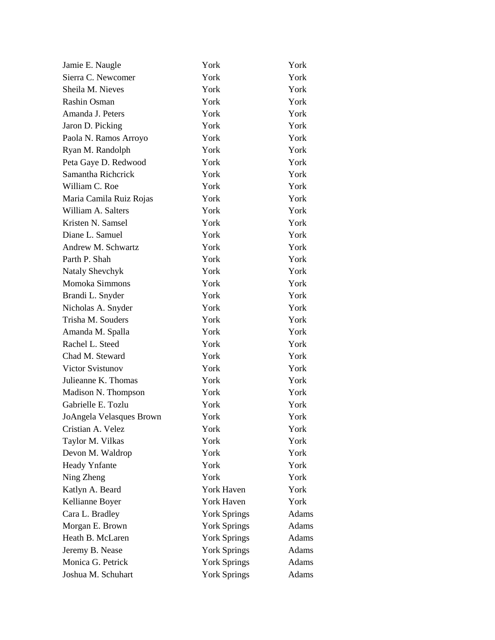| Jamie E. Naugle          | York                | York         |
|--------------------------|---------------------|--------------|
| Sierra C. Newcomer       | York                | York         |
| Sheila M. Nieves         | York                | York         |
| Rashin Osman             | York                | York         |
| Amanda J. Peters         | York                | York         |
| Jaron D. Picking         | York                | York         |
| Paola N. Ramos Arroyo    | York                | York         |
| Ryan M. Randolph         | York                | York         |
| Peta Gaye D. Redwood     | York                | York         |
| Samantha Richerick       | York                | York         |
| William C. Roe           | York                | York         |
| Maria Camila Ruiz Rojas  | York                | York         |
| William A. Salters       | York                | York         |
| Kristen N. Samsel        | York                | York         |
| Diane L. Samuel          | York                | York         |
| Andrew M. Schwartz       | York                | York         |
| Parth P. Shah            | York                | York         |
| Nataly Shevchyk          | York                | York         |
| Momoka Simmons           | York                | York         |
| Brandi L. Snyder         | York                | York         |
| Nicholas A. Snyder       | York                | York         |
| Trisha M. Souders        | York                | York         |
| Amanda M. Spalla         | York                | York         |
| Rachel L. Steed          | York                | York         |
| Chad M. Steward          | York                | York         |
| Victor Svistunov         | York                | York         |
| Julieanne K. Thomas      | York                | York         |
| Madison N. Thompson      | York                | York         |
| Gabrielle E. Tozlu       | York                | York         |
| JoAngela Velasques Brown | York                | York         |
| Cristian A. Velez        | York                | York         |
| Taylor M. Vilkas         | York                | York         |
| Devon M. Waldrop         | York                | York         |
| Heady Ynfante            | York                | York         |
| Ning Zheng               | York                | York         |
| Katlyn A. Beard          | York Haven          | York         |
| Kellianne Boyer          | York Haven          | York         |
| Cara L. Bradley          | <b>York Springs</b> | <b>Adams</b> |
| Morgan E. Brown          | <b>York Springs</b> | Adams        |
| Heath B. McLaren         | <b>York Springs</b> | Adams        |
| Jeremy B. Nease          | <b>York Springs</b> | Adams        |
| Monica G. Petrick        | <b>York Springs</b> | Adams        |
| Joshua M. Schuhart       | <b>York Springs</b> | Adams        |